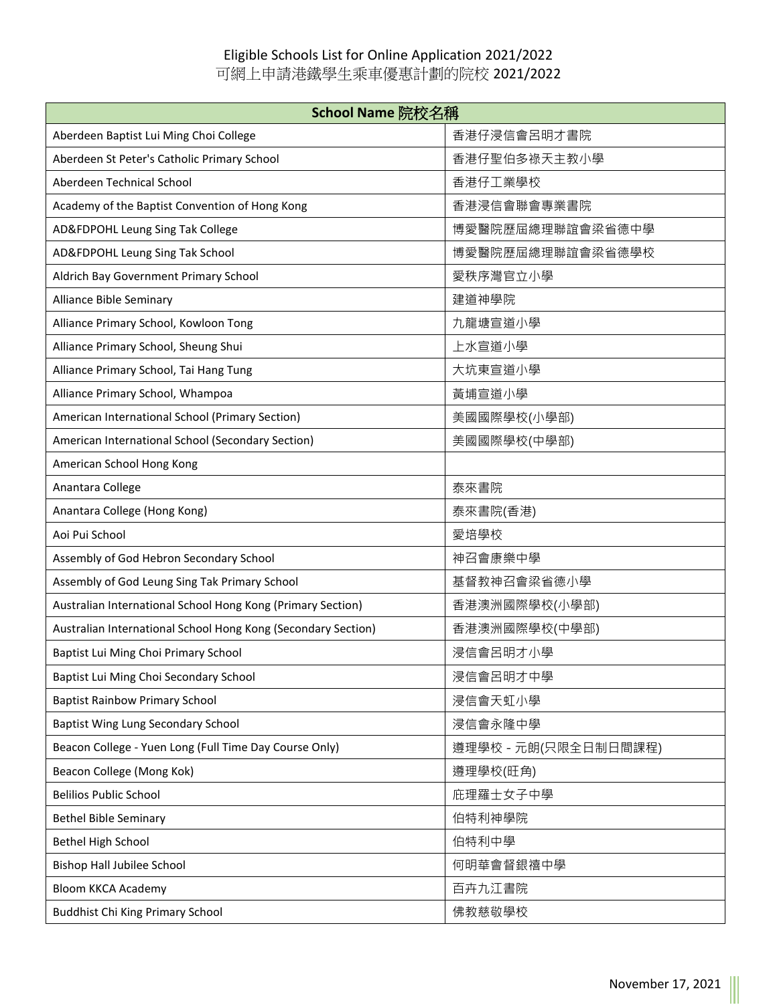## Eligible Schools List for Online Application 2021/2022 可網上申請港鐵學生乘車優惠計劃的院校 2021/2022

| School Name 院校名稱                                              |                      |  |
|---------------------------------------------------------------|----------------------|--|
| Aberdeen Baptist Lui Ming Choi College                        | 香港仔浸信會呂明才書院          |  |
| Aberdeen St Peter's Catholic Primary School                   | 香港仔聖伯多祿天主教小學         |  |
| Aberdeen Technical School                                     | 香港仔工業學校              |  |
| Academy of the Baptist Convention of Hong Kong                | 香港浸信會聯會專業書院          |  |
| AD&FDPOHL Leung Sing Tak College                              | 博愛醫院歷屆總理聯誼會梁省德中學     |  |
| AD&FDPOHL Leung Sing Tak School                               | 博愛醫院歷屆總理聯誼會梁省德學校     |  |
| Aldrich Bay Government Primary School                         | 愛秩序灣官立小學             |  |
| Alliance Bible Seminary                                       | 建道神學院                |  |
| Alliance Primary School, Kowloon Tong                         | 九龍塘宣道小學              |  |
| Alliance Primary School, Sheung Shui                          | 上水宣道小學               |  |
| Alliance Primary School, Tai Hang Tung                        | 大坑東宣道小學              |  |
| Alliance Primary School, Whampoa                              | 黃埔宣道小學               |  |
| American International School (Primary Section)               | 美國國際學校(小學部)          |  |
| American International School (Secondary Section)             | 美國國際學校(中學部)          |  |
| American School Hong Kong                                     |                      |  |
| Anantara College                                              | 泰來書院                 |  |
| Anantara College (Hong Kong)                                  | 泰來書院(香港)             |  |
| Aoi Pui School                                                | 愛培學校                 |  |
| Assembly of God Hebron Secondary School                       | 神召會康樂中學              |  |
| Assembly of God Leung Sing Tak Primary School                 | 基督教神召會梁省德小學          |  |
| Australian International School Hong Kong (Primary Section)   | 香港澳洲國際學校(小學部)        |  |
| Australian International School Hong Kong (Secondary Section) | 香港澳洲國際學校(中學部)        |  |
| Baptist Lui Ming Choi Primary School                          | 浸信會呂明才小學             |  |
| Baptist Lui Ming Choi Secondary School                        | 浸信會呂明才中學             |  |
| <b>Baptist Rainbow Primary School</b>                         | 浸信會天虹小學              |  |
| Baptist Wing Lung Secondary School                            | 浸信會永隆中學              |  |
| Beacon College - Yuen Long (Full Time Day Course Only)        | 遵理學校 - 元朗(只限全日制日間課程) |  |
| Beacon College (Mong Kok)                                     | 遵理學校(旺角)             |  |
| <b>Belilios Public School</b>                                 | 庇理羅士女子中學             |  |
| <b>Bethel Bible Seminary</b>                                  | 伯特利神學院               |  |
| <b>Bethel High School</b>                                     | 伯特利中學                |  |
| <b>Bishop Hall Jubilee School</b>                             | 何明華會督銀禧中學            |  |
| <b>Bloom KKCA Academy</b>                                     | 百卉九江書院               |  |
| <b>Buddhist Chi King Primary School</b>                       | 佛教慈敬學校               |  |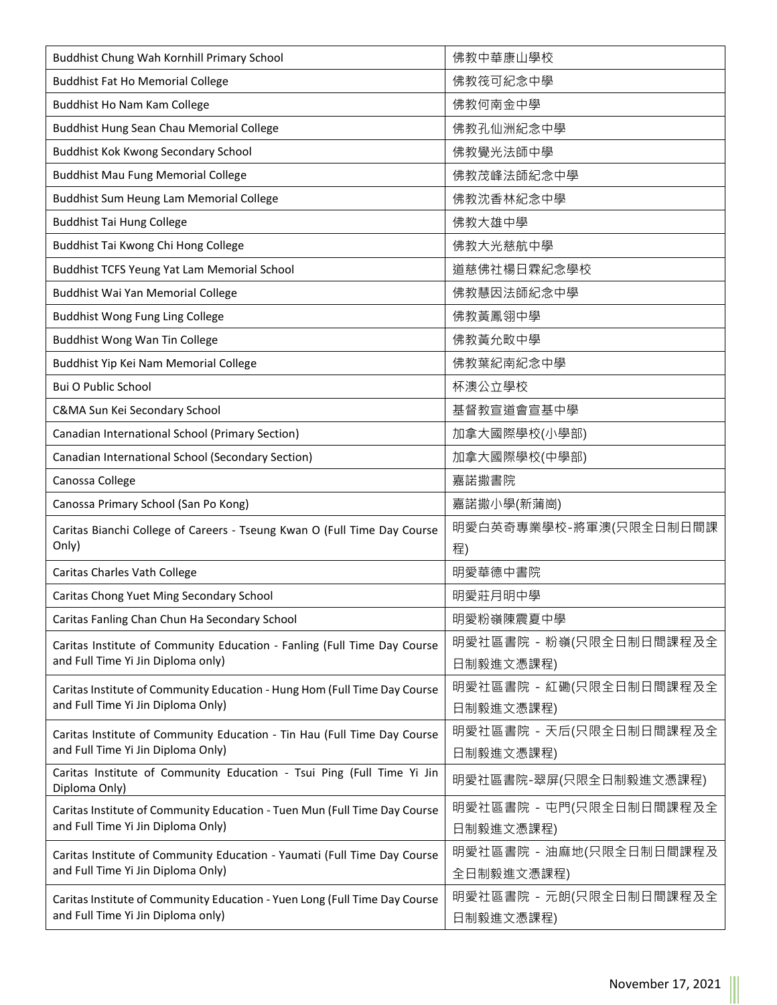| Buddhist Chung Wah Kornhill Primary School                                                                     | 佛教中華康山學校                             |
|----------------------------------------------------------------------------------------------------------------|--------------------------------------|
| <b>Buddhist Fat Ho Memorial College</b>                                                                        | 佛教筏可紀念中學                             |
| Buddhist Ho Nam Kam College                                                                                    | 佛教何南金中學                              |
| Buddhist Hung Sean Chau Memorial College                                                                       | 佛教孔仙洲紀念中學                            |
| Buddhist Kok Kwong Secondary School                                                                            | 佛教覺光法師中學                             |
| <b>Buddhist Mau Fung Memorial College</b>                                                                      | 佛教茂峰法師紀念中學                           |
| Buddhist Sum Heung Lam Memorial College                                                                        | 佛教沈香林紀念中學                            |
| <b>Buddhist Tai Hung College</b>                                                                               | 佛教大雄中學                               |
| Buddhist Tai Kwong Chi Hong College                                                                            | 佛教大光慈航中學                             |
| Buddhist TCFS Yeung Yat Lam Memorial School                                                                    | 道慈佛社楊日霖紀念學校                          |
| Buddhist Wai Yan Memorial College                                                                              | 佛教慧因法師紀念中學                           |
| Buddhist Wong Fung Ling College                                                                                | 佛教黃鳳翎中學                              |
| Buddhist Wong Wan Tin College                                                                                  | 佛教黃允畋中學                              |
| Buddhist Yip Kei Nam Memorial College                                                                          | 佛教葉紀南紀念中學                            |
| Bui O Public School                                                                                            | 杯澳公立學校                               |
| C&MA Sun Kei Secondary School                                                                                  | 基督教宣道會宣基中學                           |
| Canadian International School (Primary Section)                                                                | 加拿大國際學校(小學部)                         |
| Canadian International School (Secondary Section)                                                              | 加拿大國際學校(中學部)                         |
| Canossa College                                                                                                | 嘉諾撒書院                                |
| Canossa Primary School (San Po Kong)                                                                           | 嘉諾撒小學(新蒲崗)                           |
| Caritas Bianchi College of Careers - Tseung Kwan O (Full Time Day Course<br>Only)                              | 明愛白英奇專業學校-將軍澳(只限全日制日間課<br>程)         |
| Caritas Charles Vath College                                                                                   | 明愛華德中書院                              |
| Caritas Chong Yuet Ming Secondary School                                                                       | 明愛莊月明中學                              |
| Caritas Fanling Chan Chun Ha Secondary School                                                                  | 明愛粉嶺陳震夏中學                            |
| Caritas Institute of Community Education - Fanling (Full Time Day Course                                       | 明愛社區書院 - 粉嶺(只限全日制日間課程及全              |
| and Full Time Yi Jin Diploma only)                                                                             | 日制毅進文憑課程)                            |
| Caritas Institute of Community Education - Hung Hom (Full Time Day Course                                      | 明愛社區書院 - 紅磡(只限全日制日間課程及全              |
| and Full Time Yi Jin Diploma Only)                                                                             | 日制毅進文憑課程)                            |
| Caritas Institute of Community Education - Tin Hau (Full Time Day Course<br>and Full Time Yi Jin Diploma Only) | 明愛社區書院 - 天后(只限全日制日間課程及全<br>日制毅進文憑課程) |
| Caritas Institute of Community Education - Tsui Ping (Full Time Yi Jin<br>Diploma Only)                        | 明愛社區書院-翠屏(只限全日制毅進文憑課程)               |
| Caritas Institute of Community Education - Tuen Mun (Full Time Day Course                                      | 明愛社區書院 - 屯門(只限全日制日間課程及全              |
| and Full Time Yi Jin Diploma Only)                                                                             | 日制毅進文憑課程)                            |
| Caritas Institute of Community Education - Yaumati (Full Time Day Course                                       | 明愛社區書院 - 油麻地(只限全日制日間課程及              |
| and Full Time Yi Jin Diploma Only)                                                                             | 全日制毅進文憑課程)                           |
| Caritas Institute of Community Education - Yuen Long (Full Time Day Course                                     | 明愛社區書院 - 元朗(只限全日制日間課程及全              |
| and Full Time Yi Jin Diploma only)                                                                             | 日制毅進文憑課程)                            |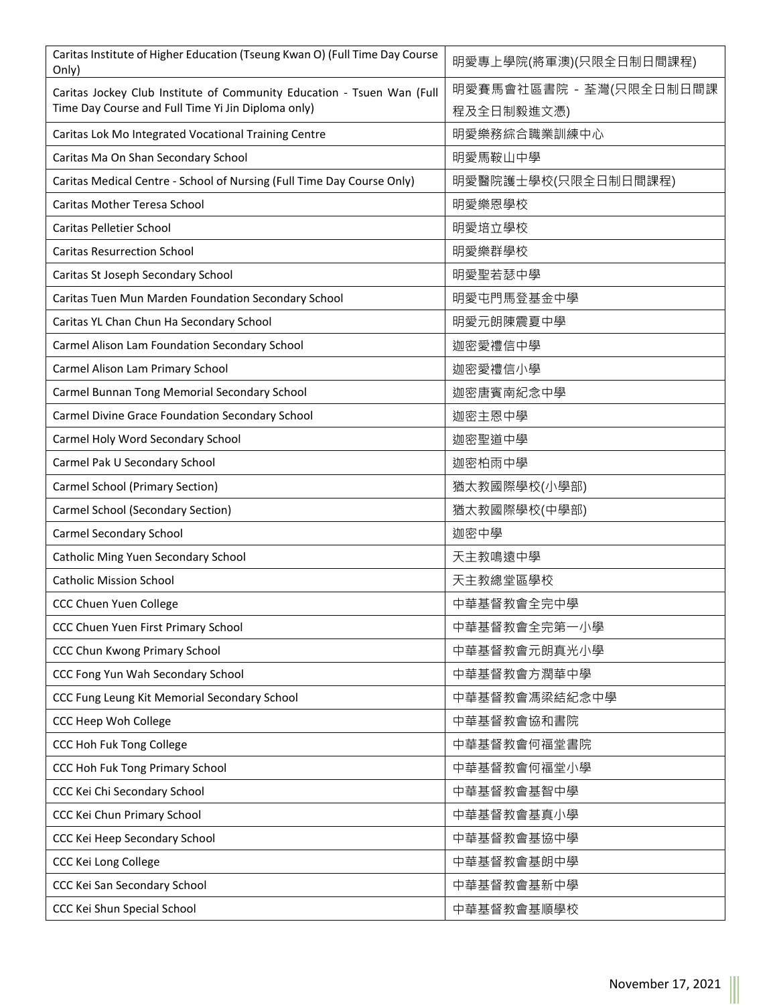| Caritas Institute of Higher Education (Tseung Kwan O) (Full Time Day Course<br>Only)                                         | 明愛專上學院(將軍澳)(只限全日制日間課程)                |
|------------------------------------------------------------------------------------------------------------------------------|---------------------------------------|
| Caritas Jockey Club Institute of Community Education - Tsuen Wan (Full<br>Time Day Course and Full Time Yi Jin Diploma only) | 明愛賽馬會社區書院 - 荃灣(只限全日制日間課<br>程及全日制毅進文憑) |
| Caritas Lok Mo Integrated Vocational Training Centre                                                                         | 明愛樂務綜合職業訓練中心                          |
| Caritas Ma On Shan Secondary School                                                                                          | 明愛馬鞍山中學                               |
| Caritas Medical Centre - School of Nursing (Full Time Day Course Only)                                                       | 明愛醫院護士學校(只限全日制日間課程)                   |
| Caritas Mother Teresa School                                                                                                 | 明愛樂恩學校                                |
| Caritas Pelletier School                                                                                                     | 明愛培立學校                                |
| <b>Caritas Resurrection School</b>                                                                                           | 明愛樂群學校                                |
| Caritas St Joseph Secondary School                                                                                           | 明愛聖若瑟中學                               |
| Caritas Tuen Mun Marden Foundation Secondary School                                                                          | 明愛屯門馬登基金中學                            |
| Caritas YL Chan Chun Ha Secondary School                                                                                     | 明愛元朗陳震夏中學                             |
| Carmel Alison Lam Foundation Secondary School                                                                                | 迦密愛禮信中學                               |
| Carmel Alison Lam Primary School                                                                                             | 迦密愛禮信小學                               |
| Carmel Bunnan Tong Memorial Secondary School                                                                                 | 迦密唐賓南紀念中學                             |
| Carmel Divine Grace Foundation Secondary School                                                                              | 迦密主恩中學                                |
| Carmel Holy Word Secondary School                                                                                            | 迦密聖道中學                                |
| Carmel Pak U Secondary School                                                                                                | 迦密柏雨中學                                |
| Carmel School (Primary Section)                                                                                              | 猶太教國際學校(小學部)                          |
| Carmel School (Secondary Section)                                                                                            | 猶太教國際學校(中學部)                          |
| Carmel Secondary School                                                                                                      | 迦密中學                                  |
| Catholic Ming Yuen Secondary School                                                                                          | 天主教鳴遠中學                               |
| <b>Catholic Mission School</b>                                                                                               | 天主教總堂區學校                              |
| CCC Chuen Yuen College                                                                                                       | 中華基督教會全完中學                            |
| CCC Chuen Yuen First Primary School                                                                                          | 中華基督教會全完第一小學                          |
| CCC Chun Kwong Primary School                                                                                                | 中華基督教會元朗真光小學                          |
| CCC Fong Yun Wah Secondary School                                                                                            | 中華基督教會方潤華中學                           |
| CCC Fung Leung Kit Memorial Secondary School                                                                                 | 中華基督教會馮梁結紀念中學                         |
| CCC Heep Woh College                                                                                                         | 中華基督教會協和書院                            |
| CCC Hoh Fuk Tong College                                                                                                     | 中華基督教會何福堂書院                           |
| CCC Hoh Fuk Tong Primary School                                                                                              | 中華基督教會何福堂小學                           |
| CCC Kei Chi Secondary School                                                                                                 | 中華基督教會基智中學                            |
| CCC Kei Chun Primary School                                                                                                  | 中華基督教會基真小學                            |
| CCC Kei Heep Secondary School                                                                                                | 中華基督教會基協中學                            |
| CCC Kei Long College                                                                                                         | 中華基督教會基朗中學                            |
| CCC Kei San Secondary School                                                                                                 | 中華基督教會基新中學                            |
| CCC Kei Shun Special School                                                                                                  | 中華基督教會基順學校                            |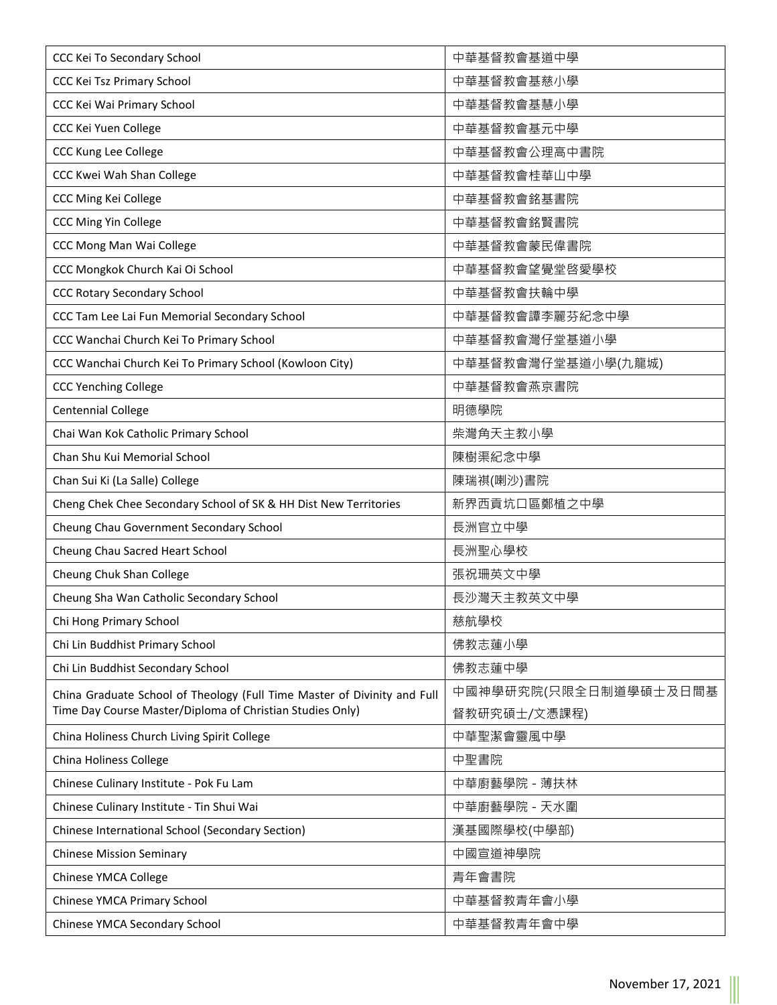| CCC Kei To Secondary School                                              | 中華基督教會基道中學            |
|--------------------------------------------------------------------------|-----------------------|
| CCC Kei Tsz Primary School                                               | 中華基督教會基慈小學            |
| CCC Kei Wai Primary School                                               | 中華基督教會基慧小學            |
| CCC Kei Yuen College                                                     | 中華基督教會基元中學            |
| CCC Kung Lee College                                                     | 中華基督教會公理高中書院          |
| CCC Kwei Wah Shan College                                                | 中華基督教會桂華山中學           |
| CCC Ming Kei College                                                     | 中華基督教會銘基書院            |
| <b>CCC Ming Yin College</b>                                              | 中華基督教會銘賢書院            |
| CCC Mong Man Wai College                                                 | 中華基督教會蒙民偉書院           |
| CCC Mongkok Church Kai Oi School                                         | 中華基督教會望覺堂啓愛學校         |
| <b>CCC Rotary Secondary School</b>                                       | 中華基督教會扶輪中學            |
| CCC Tam Lee Lai Fun Memorial Secondary School                            | 中華基督教會譚李麗芬紀念中學        |
| CCC Wanchai Church Kei To Primary School                                 | 中華基督教會灣仔堂基道小學         |
| CCC Wanchai Church Kei To Primary School (Kowloon City)                  | 中華基督教會灣仔堂基道小學(九龍城)    |
| <b>CCC Yenching College</b>                                              | 中華基督教會燕京書院            |
| <b>Centennial College</b>                                                | 明德學院                  |
| Chai Wan Kok Catholic Primary School                                     | 柴灣角天主教小學              |
| Chan Shu Kui Memorial School                                             | 陳樹渠紀念中學               |
| Chan Sui Ki (La Salle) College                                           | 陳瑞祺(喇沙)書院             |
| Cheng Chek Chee Secondary School of SK & HH Dist New Territories         | 新界西貢坑口區鄭植之中學          |
| Cheung Chau Government Secondary School                                  | 長洲官立中學                |
| Cheung Chau Sacred Heart School                                          | 長洲聖心學校                |
| Cheung Chuk Shan College                                                 | 張祝珊英文中學               |
| Cheung Sha Wan Catholic Secondary School                                 | 長沙灣天主教英文中學            |
| Chi Hong Primary School                                                  | 慈航學校                  |
| Chi Lin Buddhist Primary School                                          | 佛教志蓮小學                |
| Chi Lin Buddhist Secondary School                                        | 佛教志蓮中學                |
| China Graduate School of Theology (Full Time Master of Divinity and Full | 中國神學研究院(只限全日制道學碩士及日間基 |
| Time Day Course Master/Diploma of Christian Studies Only)                | 督教研究碩士/文憑課程)          |
| China Holiness Church Living Spirit College                              | 中華聖潔會靈風中學             |
| China Holiness College                                                   | 中聖書院                  |
| Chinese Culinary Institute - Pok Fu Lam                                  | 中華廚藝學院 - 薄扶林          |
| Chinese Culinary Institute - Tin Shui Wai                                | 中華廚藝學院 - 天水圍          |
| Chinese International School (Secondary Section)                         | 漢基國際學校(中學部)           |
| <b>Chinese Mission Seminary</b>                                          | 中國宣道神學院               |
| Chinese YMCA College                                                     | 青年會書院                 |
| Chinese YMCA Primary School                                              | 中華基督教青年會小學            |
| Chinese YMCA Secondary School                                            | 中華基督教青年會中學            |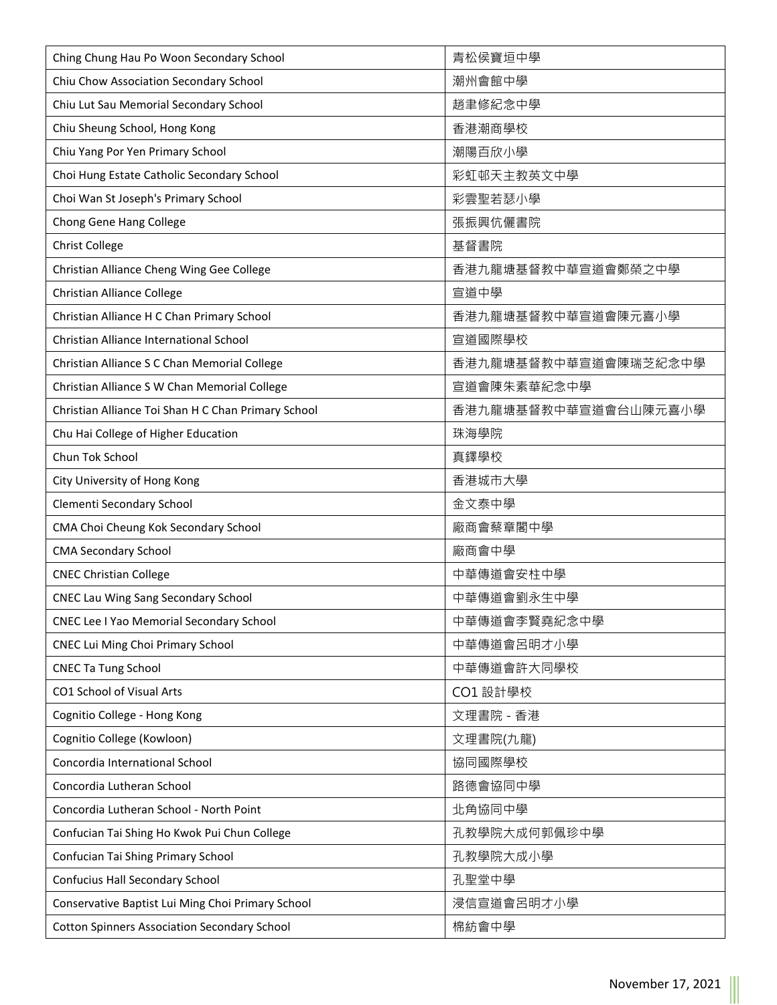| Ching Chung Hau Po Woon Secondary School            | 青松侯寶垣中學              |
|-----------------------------------------------------|----------------------|
| Chiu Chow Association Secondary School              | 潮州會館中學               |
| Chiu Lut Sau Memorial Secondary School              | 趙聿修紀念中學              |
| Chiu Sheung School, Hong Kong                       | 香港潮商學校               |
| Chiu Yang Por Yen Primary School                    | 潮陽百欣小學               |
| Choi Hung Estate Catholic Secondary School          | 彩虹邨天主教英文中學           |
| Choi Wan St Joseph's Primary School                 | 彩雲聖若瑟小學              |
| Chong Gene Hang College                             | 張振興伉儷書院              |
| <b>Christ College</b>                               | 基督書院                 |
| Christian Alliance Cheng Wing Gee College           | 香港九龍塘基督教中華宣道會鄭榮之中學   |
| Christian Alliance College                          | 宣道中學                 |
| Christian Alliance H C Chan Primary School          | 香港九龍塘基督教中華宣道會陳元喜小學   |
| Christian Alliance International School             | 宣道國際學校               |
| Christian Alliance S C Chan Memorial College        | 香港九龍塘基督教中華宣道會陳瑞芝紀念中學 |
| Christian Alliance S W Chan Memorial College        | 宣道會陳朱素華紀念中學          |
| Christian Alliance Toi Shan H C Chan Primary School | 香港九龍塘基督教中華宣道會台山陳元喜小學 |
| Chu Hai College of Higher Education                 | 珠海學院                 |
| Chun Tok School                                     | 真鐸學校                 |
| City University of Hong Kong                        | 香港城市大學               |
| Clementi Secondary School                           | 金文泰中學                |
| CMA Choi Cheung Kok Secondary School                | 廠商會蔡章閣中學             |
| <b>CMA Secondary School</b>                         | 廠商會中學                |
| <b>CNEC Christian College</b>                       | 中華傳道會安柱中學            |
| <b>CNEC Lau Wing Sang Secondary School</b>          | 中華傳道會劉永生中學           |
| <b>CNEC Lee I Yao Memorial Secondary School</b>     | 中華傳道會李賢堯紀念中學         |
| <b>CNEC Lui Ming Choi Primary School</b>            | 中華傳道會呂明才小學           |
| <b>CNEC Ta Tung School</b>                          | 中華傳道會許大同學校           |
| CO1 School of Visual Arts                           | CO1設計學校              |
| Cognitio College - Hong Kong                        | 文理書院 - 香港            |
| Cognitio College (Kowloon)                          | 文理書院(九龍)             |
| Concordia International School                      | 協同國際學校               |
| Concordia Lutheran School                           | 路德會協同中學              |
| Concordia Lutheran School - North Point             | 北角協同中學               |
| Confucian Tai Shing Ho Kwok Pui Chun College        | 孔教學院大成何郭佩珍中學         |
| Confucian Tai Shing Primary School                  | 孔教學院大成小學             |
| Confucius Hall Secondary School                     | 孔聖堂中學                |
| Conservative Baptist Lui Ming Choi Primary School   | 浸信宣道會呂明才小學           |
| <b>Cotton Spinners Association Secondary School</b> | 棉紡會中學                |

Ш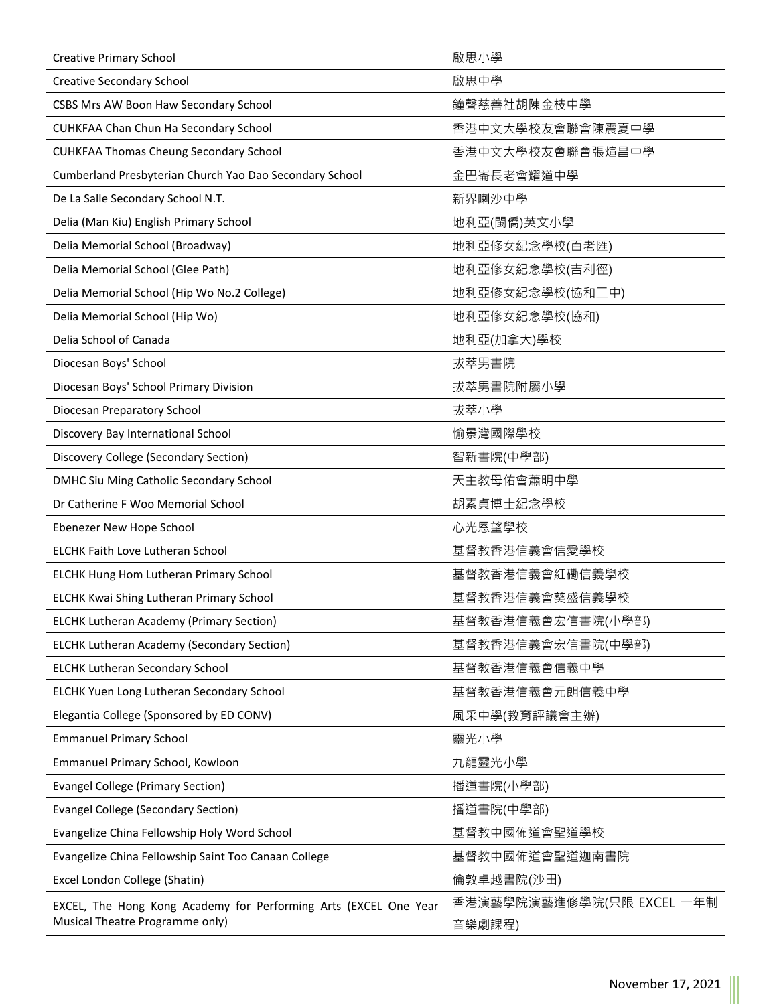| <b>Creative Primary School</b>                                                                      | 啟思小學                                |
|-----------------------------------------------------------------------------------------------------|-------------------------------------|
| <b>Creative Secondary School</b>                                                                    | 啟思中學                                |
| CSBS Mrs AW Boon Haw Secondary School                                                               | 鐘聲慈善社胡陳金枝中學                         |
| CUHKFAA Chan Chun Ha Secondary School                                                               | 香港中文大學校友會聯會陳震夏中學                    |
| <b>CUHKFAA Thomas Cheung Secondary School</b>                                                       | 香港中文大學校友會聯會張煊昌中學                    |
| Cumberland Presbyterian Church Yao Dao Secondary School                                             | 金巴崙長老會耀道中學                          |
| De La Salle Secondary School N.T.                                                                   | 新界喇沙中學                              |
| Delia (Man Kiu) English Primary School                                                              | 地利亞(閩僑)英文小學                         |
| Delia Memorial School (Broadway)                                                                    | 地利亞修女紀念學校(百老匯)                      |
| Delia Memorial School (Glee Path)                                                                   | 地利亞修女紀念學校(吉利徑)                      |
| Delia Memorial School (Hip Wo No.2 College)                                                         | 地利亞修女紀念學校(協和二中)                     |
| Delia Memorial School (Hip Wo)                                                                      | 地利亞修女紀念學校(協和)                       |
| Delia School of Canada                                                                              | 地利亞(加拿大)學校                          |
| Diocesan Boys' School                                                                               | 拔萃男書院                               |
| Diocesan Boys' School Primary Division                                                              | 拔萃男書院附屬小學                           |
| Diocesan Preparatory School                                                                         | 拔萃小學                                |
| Discovery Bay International School                                                                  | 愉景灣國際學校                             |
| Discovery College (Secondary Section)                                                               | 智新書院(中學部)                           |
| DMHC Siu Ming Catholic Secondary School                                                             | 天主教母佑會蕭明中學                          |
| Dr Catherine F Woo Memorial School                                                                  | 胡素貞博士紀念學校                           |
| Ebenezer New Hope School                                                                            | 心光恩望學校                              |
| <b>ELCHK Faith Love Lutheran School</b>                                                             | 基督教香港信義會信愛學校                        |
| ELCHK Hung Hom Lutheran Primary School                                                              | 基督教香港信義會紅磡信義學校                      |
| <b>ELCHK Kwai Shing Lutheran Primary School</b>                                                     | 基督教香港信義會葵盛信義學校                      |
| <b>ELCHK Lutheran Academy (Primary Section)</b>                                                     | 基督教香港信義會宏信書院(小學部)                   |
| <b>ELCHK Lutheran Academy (Secondary Section)</b>                                                   | 基督教香港信義會宏信書院(中學部)                   |
| <b>ELCHK Lutheran Secondary School</b>                                                              | 基督教香港信義會信義中學                        |
| ELCHK Yuen Long Lutheran Secondary School                                                           | 基督教香港信義會元朗信義中學                      |
| Elegantia College (Sponsored by ED CONV)                                                            | 風采中學(教育評議會主辦)                       |
| <b>Emmanuel Primary School</b>                                                                      | 靈光小學                                |
| Emmanuel Primary School, Kowloon                                                                    | 九龍靈光小學                              |
| <b>Evangel College (Primary Section)</b>                                                            | 播道書院(小學部)                           |
| <b>Evangel College (Secondary Section)</b>                                                          | 播道書院(中學部)                           |
| Evangelize China Fellowship Holy Word School                                                        | 基督教中國佈道會聖道學校                        |
| Evangelize China Fellowship Saint Too Canaan College                                                | 基督教中國佈道會聖道迦南書院                      |
| Excel London College (Shatin)                                                                       | 倫敦卓越書院(沙田)                          |
| EXCEL, The Hong Kong Academy for Performing Arts (EXCEL One Year<br>Musical Theatre Programme only) | 香港演藝學院演藝進修學院(只限 EXCEL 一年制<br>音樂劇課程) |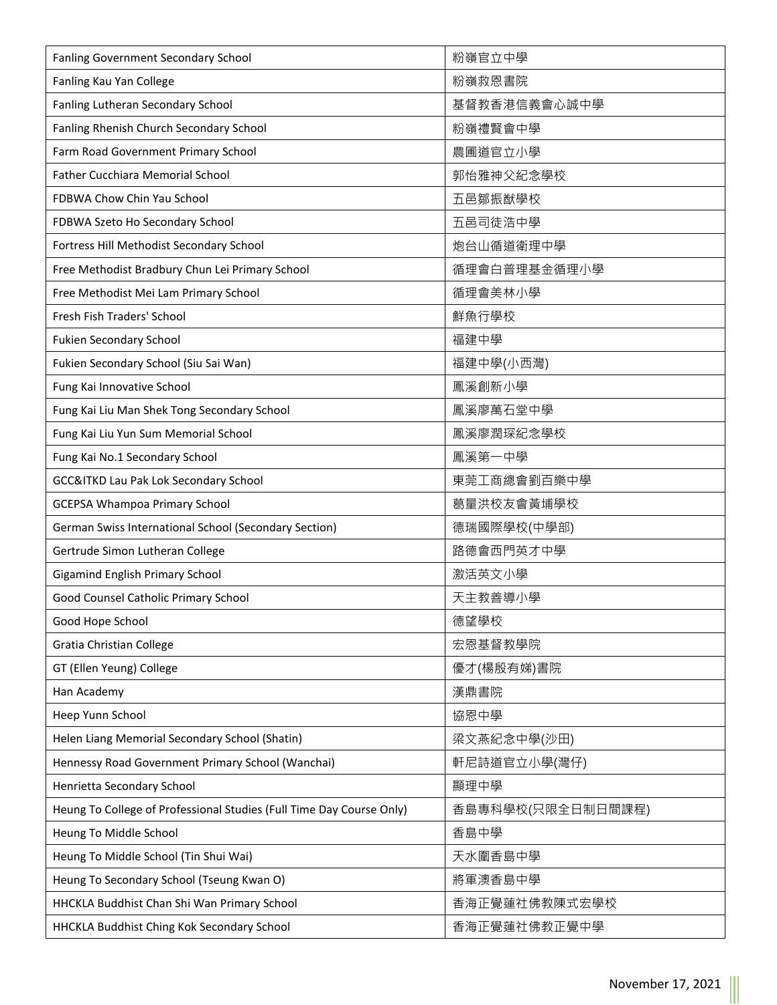| Fanling Government Secondary School                                  | 粉嶺官立中學            |
|----------------------------------------------------------------------|-------------------|
| Fanling Kau Yan College                                              | 粉嶺救恩書院            |
| Fanling Lutheran Secondary School                                    | 基督教香港信義會心誠中學      |
| Fanling Rhenish Church Secondary School                              | 粉嶺禮賢會中學           |
| Farm Road Government Primary School                                  | 農圃道官立小學           |
| <b>Father Cucchiara Memorial School</b>                              | 郭怡雅神父紀念學校         |
| FDBWA Chow Chin Yau School                                           | 五邑鄒振猷學校           |
| FDBWA Szeto Ho Secondary School                                      | 五邑司徒浩中學           |
| Fortress Hill Methodist Secondary School                             | 炮台山循道衛理中學         |
| Free Methodist Bradbury Chun Lei Primary School                      | 循理會白普理基金循理小學      |
| Free Methodist Mei Lam Primary School                                | 循理會美林小學           |
| Fresh Fish Traders' School                                           | 鮮魚行學校             |
| <b>Fukien Secondary School</b>                                       | 福建中學              |
| Fukien Secondary School (Siu Sai Wan)                                | 福建中學(小西灣)         |
| Fung Kai Innovative School                                           | 鳳溪創新小學            |
| Fung Kai Liu Man Shek Tong Secondary School                          | 鳳溪廖萬石堂中學          |
| Fung Kai Liu Yun Sum Memorial School                                 | 鳳溪廖潤琛紀念學校         |
| Fung Kai No.1 Secondary School                                       | 鳳溪第一中學            |
| <b>GCC&amp;ITKD Lau Pak Lok Secondary School</b>                     | 東莞工商總會劉百樂中學       |
| <b>GCEPSA Whampoa Primary School</b>                                 | 葛量洪校友會黃埔學校        |
| German Swiss International School (Secondary Section)                | 德瑞國際學校(中學部)       |
| Gertrude Simon Lutheran College                                      | 路德會西門英才中學         |
| <b>Gigamind English Primary School</b>                               | 激活英文小學            |
| Good Counsel Catholic Primary School                                 | 天主教善導小學           |
| Good Hope School                                                     | 德望學校              |
| Gratia Christian College                                             | 宏恩基督教學院           |
| GT (Ellen Yeung) College                                             | 優才(楊殷有娣)書院        |
| Han Academy                                                          | 漢鼎書院              |
| Heep Yunn School                                                     | 協恩中學              |
| Helen Liang Memorial Secondary School (Shatin)                       | 梁文燕紀念中學(沙田)       |
| Hennessy Road Government Primary School (Wanchai)                    | 軒尼詩道官立小學(灣仔)      |
| Henrietta Secondary School                                           | 顯理中學              |
| Heung To College of Professional Studies (Full Time Day Course Only) | 香島專科學校(只限全日制日間課程) |
| Heung To Middle School                                               | 香島中學              |
| Heung To Middle School (Tin Shui Wai)                                | 天水圍香島中學           |
| Heung To Secondary School (Tseung Kwan O)                            | 將軍澳香島中學           |
| HHCKLA Buddhist Chan Shi Wan Primary School                          | 香海正覺蓮社佛教陳式宏學校     |
| HHCKLA Buddhist Ching Kok Secondary School                           | 香海正覺蓮社佛教正覺中學      |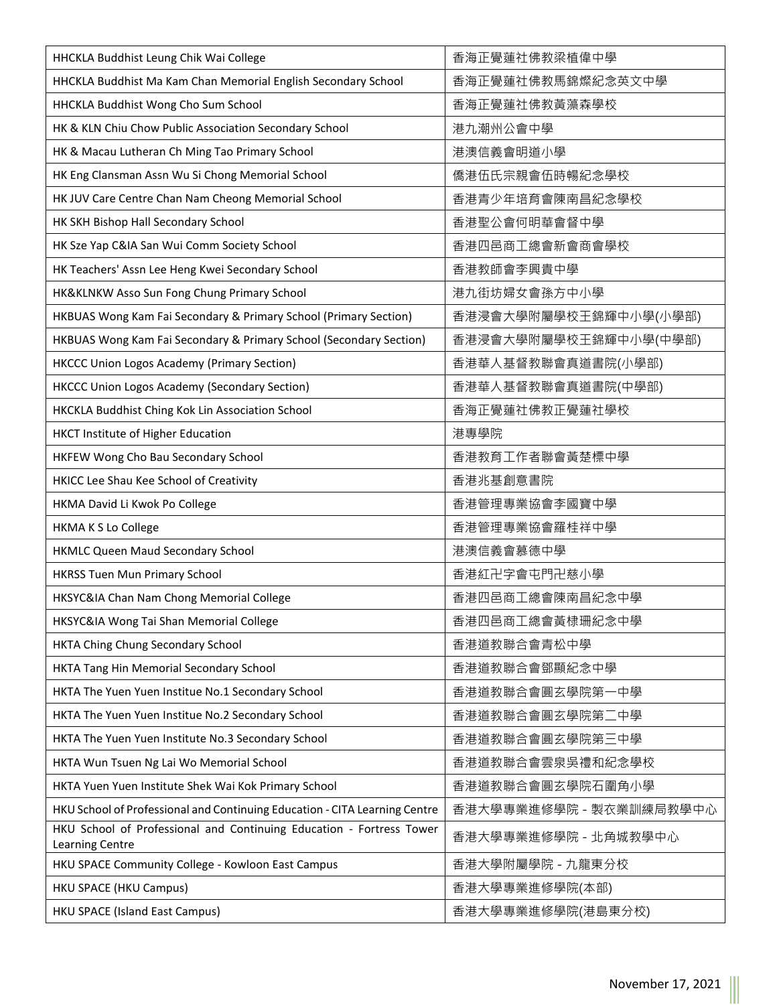| HHCKLA Buddhist Leung Chik Wai College                                                  | 香海正覺蓮社佛教梁植偉中學           |
|-----------------------------------------------------------------------------------------|-------------------------|
| HHCKLA Buddhist Ma Kam Chan Memorial English Secondary School                           | 香海正覺蓮社佛教馬錦燦紀念英文中學       |
| HHCKLA Buddhist Wong Cho Sum School                                                     | 香海正覺蓮社佛教黃藻森學校           |
| HK & KLN Chiu Chow Public Association Secondary School                                  | 港九潮州公會中學                |
| HK & Macau Lutheran Ch Ming Tao Primary School                                          | 港澳信義會明道小學               |
| HK Eng Clansman Assn Wu Si Chong Memorial School                                        | 僑港伍氏宗親會伍時暢紀念學校          |
| HK JUV Care Centre Chan Nam Cheong Memorial School                                      | 香港青少年培育會陳南昌紀念學校         |
| HK SKH Bishop Hall Secondary School                                                     | 香港聖公會何明華會督中學            |
| HK Sze Yap C&IA San Wui Comm Society School                                             | 香港四邑商工總會新會商會學校          |
| HK Teachers' Assn Lee Heng Kwei Secondary School                                        | 香港教師會李興貴中學              |
| HK&KLNKW Asso Sun Fong Chung Primary School                                             | 港九街坊婦女會孫方中小學            |
| HKBUAS Wong Kam Fai Secondary & Primary School (Primary Section)                        | 香港浸會大學附屬學校王錦輝中小學(小學部)   |
| HKBUAS Wong Kam Fai Secondary & Primary School (Secondary Section)                      | 香港浸會大學附屬學校王錦輝中小學(中學部)   |
| <b>HKCCC Union Logos Academy (Primary Section)</b>                                      | 香港華人基督教聯會真道書院(小學部)      |
| HKCCC Union Logos Academy (Secondary Section)                                           | 香港華人基督教聯會真道書院(中學部)      |
| HKCKLA Buddhist Ching Kok Lin Association School                                        | 香海正覺蓮社佛教正覺蓮社學校          |
| HKCT Institute of Higher Education                                                      | 港專學院                    |
| HKFEW Wong Cho Bau Secondary School                                                     | 香港教育工作者聯會黃楚標中學          |
| HKICC Lee Shau Kee School of Creativity                                                 | 香港兆基創意書院                |
| HKMA David Li Kwok Po College                                                           | 香港管理專業協會李國寶中學           |
| <b>HKMA K S Lo College</b>                                                              | 香港管理專業協會羅桂祥中學           |
| HKMLC Queen Maud Secondary School                                                       | 港澳信義會慕德中學               |
| <b>HKRSS Tuen Mun Primary School</b>                                                    | 香港紅卍字會屯門卍慈小學            |
| HKSYC&IA Chan Nam Chong Memorial College                                                | 香港四邑商工總會陳南昌紀念中學         |
| HKSYC&IA Wong Tai Shan Memorial College                                                 | 香港四邑商工總會黃棣珊紀念中學         |
| HKTA Ching Chung Secondary School                                                       | 香港道教聯合會青松中學             |
| HKTA Tang Hin Memorial Secondary School                                                 | 香港道教聯合會鄧顯紀念中學           |
| HKTA The Yuen Yuen Institue No.1 Secondary School                                       | 香港道教聯合會圓玄學院第一中學         |
| HKTA The Yuen Yuen Institue No.2 Secondary School                                       | 香港道教聯合會圓玄學院第二中學         |
| HKTA The Yuen Yuen Institute No.3 Secondary School                                      | 香港道教聯合會圓玄學院第三中學         |
| HKTA Wun Tsuen Ng Lai Wo Memorial School                                                | 香港道教聯合會雲泉吳禮和紀念學校        |
| HKTA Yuen Yuen Institute Shek Wai Kok Primary School                                    | 香港道教聯合會圓玄學院石圍角小學        |
| HKU School of Professional and Continuing Education - CITA Learning Centre              | 香港大學專業進修學院 - 製衣業訓練局教學中心 |
| HKU School of Professional and Continuing Education - Fortress Tower<br>Learning Centre | 香港大學專業進修學院 - 北角城教學中心    |
| HKU SPACE Community College - Kowloon East Campus                                       | 香港大學附屬學院 - 九龍東分校        |
| HKU SPACE (HKU Campus)                                                                  | 香港大學專業進修學院(本部)          |
| HKU SPACE (Island East Campus)                                                          | 香港大學專業進修學院(港島東分校)       |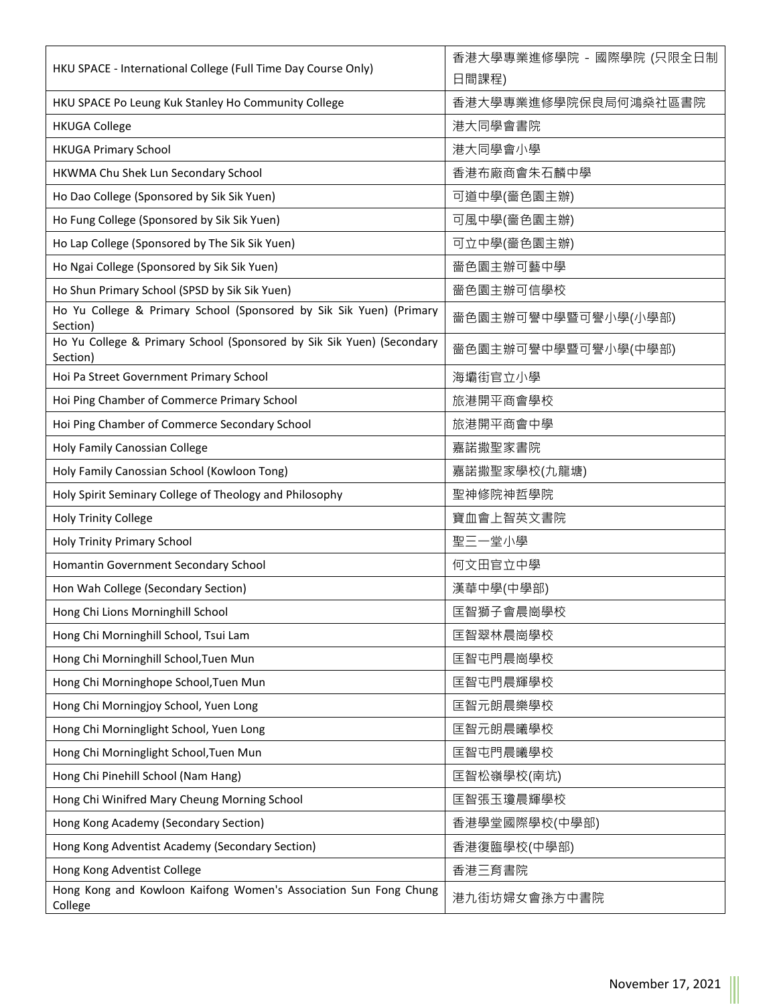| HKU SPACE - International College (Full Time Day Course Only)                     | 香港大學專業進修學院 - 國際學院 (只限全日制 |
|-----------------------------------------------------------------------------------|--------------------------|
|                                                                                   | 日間課程)                    |
| HKU SPACE Po Leung Kuk Stanley Ho Community College                               | 香港大學專業進修學院保良局何鴻燊社區書院     |
| <b>HKUGA College</b>                                                              | 港大同學會書院                  |
| <b>HKUGA Primary School</b>                                                       | 港大同學會小學                  |
| HKWMA Chu Shek Lun Secondary School                                               | 香港布廠商會朱石麟中學              |
| Ho Dao College (Sponsored by Sik Sik Yuen)                                        | 可道中學(嗇色園主辦)              |
| Ho Fung College (Sponsored by Sik Sik Yuen)                                       | 可風中學(嗇色園主辦)              |
| Ho Lap College (Sponsored by The Sik Sik Yuen)                                    | 可立中學(嗇色園主辦)              |
| Ho Ngai College (Sponsored by Sik Sik Yuen)                                       | 嗇色園主辦可藝中學                |
| Ho Shun Primary School (SPSD by Sik Sik Yuen)                                     | 嗇色園主辦可信學校                |
| Ho Yu College & Primary School (Sponsored by Sik Sik Yuen) (Primary<br>Section)   | 嗇色園主辦可譽中學暨可譽小學(小學部)      |
| Ho Yu College & Primary School (Sponsored by Sik Sik Yuen) (Secondary<br>Section) | 嗇色園主辦可譽中學暨可譽小學(中學部)      |
| Hoi Pa Street Government Primary School                                           | 海壩街官立小學                  |
| Hoi Ping Chamber of Commerce Primary School                                       | 旅港開平商會學校                 |
| Hoi Ping Chamber of Commerce Secondary School                                     | 旅港開平商會中學                 |
| Holy Family Canossian College                                                     | 嘉諾撒聖家書院                  |
| Holy Family Canossian School (Kowloon Tong)                                       | 嘉諾撒聖家學校(九龍塘)             |
| Holy Spirit Seminary College of Theology and Philosophy                           | 聖神修院神哲學院                 |
| <b>Holy Trinity College</b>                                                       | 寶血會上智英文書院                |
| Holy Trinity Primary School                                                       | 聖三一堂小學                   |
| Homantin Government Secondary School                                              | 何文田官立中學                  |
| Hon Wah College (Secondary Section)                                               | 漢華中學(中學部)                |
| Hong Chi Lions Morninghill School                                                 | 匡智獅子會晨崗學校                |
| Hong Chi Morninghill School, Tsui Lam                                             | 匡智翠林晨崗學校                 |
| Hong Chi Morninghill School, Tuen Mun                                             | 匡智屯門晨崗學校                 |
| Hong Chi Morninghope School, Tuen Mun                                             | 匡智屯門晨輝學校                 |
| Hong Chi Morningjoy School, Yuen Long                                             | 匡智元朗晨樂學校                 |
| Hong Chi Morninglight School, Yuen Long                                           | 匡智元朗晨曦學校                 |
| Hong Chi Morninglight School, Tuen Mun                                            | 匡智屯門晨曦學校                 |
| Hong Chi Pinehill School (Nam Hang)                                               | 匡智松嶺學校(南坑)               |
| Hong Chi Winifred Mary Cheung Morning School                                      | 匡智張玉瓊晨輝學校                |
| Hong Kong Academy (Secondary Section)                                             | 香港學堂國際學校(中學部)            |
| Hong Kong Adventist Academy (Secondary Section)                                   | 香港復臨學校(中學部)              |
| Hong Kong Adventist College                                                       | 香港三育書院                   |
| Hong Kong and Kowloon Kaifong Women's Association Sun Fong Chung<br>College       | 港九街坊婦女會孫方中書院             |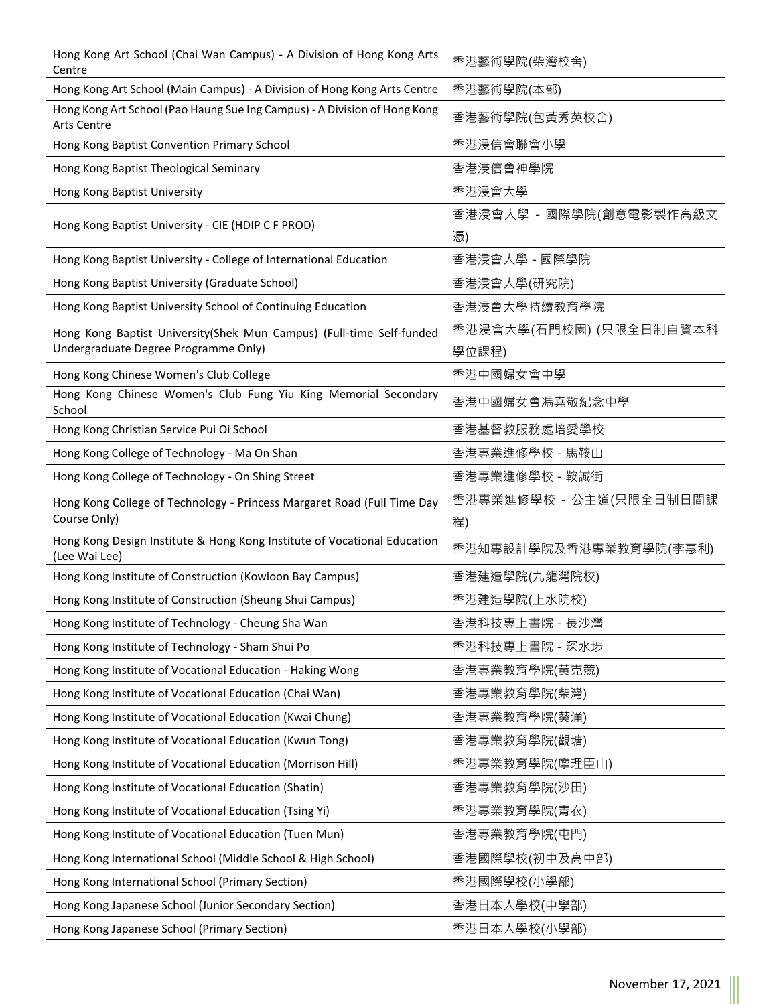| Hong Kong Art School (Chai Wan Campus) - A Division of Hong Kong Arts<br>Centre                              | 香港藝術學院(柴灣校舍)                  |
|--------------------------------------------------------------------------------------------------------------|-------------------------------|
| Hong Kong Art School (Main Campus) - A Division of Hong Kong Arts Centre                                     | 香港藝術學院(本部)                    |
| Hong Kong Art School (Pao Haung Sue Ing Campus) - A Division of Hong Kong<br><b>Arts Centre</b>              | 香港藝術學院(包黃秀英校舍)                |
| Hong Kong Baptist Convention Primary School                                                                  | 香港浸信會聯會小學                     |
| Hong Kong Baptist Theological Seminary                                                                       | 香港浸信會神學院                      |
| Hong Kong Baptist University                                                                                 | 香港浸會大學                        |
| Hong Kong Baptist University - CIE (HDIP C F PROD)                                                           | 香港浸會大學 - 國際學院(創意電影製作高級文<br>憑) |
| Hong Kong Baptist University - College of International Education                                            | 香港浸會大學 - 國際學院                 |
| Hong Kong Baptist University (Graduate School)                                                               | 香港浸會大學(研究院)                   |
| Hong Kong Baptist University School of Continuing Education                                                  | 香港浸會大學持續教育學院                  |
| Hong Kong Baptist University(Shek Mun Campus) (Full-time Self-funded<br>Undergraduate Degree Programme Only) | 香港浸會大學(石門校園) (只限全日制自資本科       |
|                                                                                                              | 學位課程)                         |
| Hong Kong Chinese Women's Club College                                                                       | 香港中國婦女會中學                     |
| Hong Kong Chinese Women's Club Fung Yiu King Memorial Secondary<br>School                                    | 香港中國婦女會馮堯敬紀念中學                |
| Hong Kong Christian Service Pui Oi School                                                                    | 香港基督教服務處培愛學校                  |
| Hong Kong College of Technology - Ma On Shan                                                                 | 香港專業進修學校 - 馬鞍山                |
| Hong Kong College of Technology - On Shing Street                                                            | 香港專業進修學校 - 鞍誠街                |
|                                                                                                              |                               |
| Hong Kong College of Technology - Princess Margaret Road (Full Time Day<br>Course Only)                      | 香港專業進修學校 - 公主道(只限全日制日間課<br>程) |
| Hong Kong Design Institute & Hong Kong Institute of Vocational Education<br>(Lee Wai Lee)                    | 香港知專設計學院及香港專業教育學院(李惠利)        |
| Hong Kong Institute of Construction (Kowloon Bay Campus)                                                     | 香港建造學院(九龍灣院校)                 |
| Hong Kong Institute of Construction (Sheung Shui Campus)                                                     | 香港建造學院(上水院校)                  |
| Hong Kong Institute of Technology - Cheung Sha Wan                                                           | 香港科技專上書院 - 長沙灣                |
| Hong Kong Institute of Technology - Sham Shui Po                                                             | 香港科技專上書院 - 深水埗                |
| Hong Kong Institute of Vocational Education - Haking Wong                                                    | 香港專業教育學院(黃克競)                 |
| Hong Kong Institute of Vocational Education (Chai Wan)                                                       | 香港專業教育學院(柴灣)                  |
| Hong Kong Institute of Vocational Education (Kwai Chung)                                                     | 香港專業教育學院(葵涌)                  |
| Hong Kong Institute of Vocational Education (Kwun Tong)                                                      | 香港專業教育學院(觀塘)                  |
| Hong Kong Institute of Vocational Education (Morrison Hill)                                                  | 香港專業教育學院(摩理臣山)                |
| Hong Kong Institute of Vocational Education (Shatin)                                                         | 香港專業教育學院(沙田)                  |
| Hong Kong Institute of Vocational Education (Tsing Yi)                                                       | 香港專業教育學院(青衣)                  |
| Hong Kong Institute of Vocational Education (Tuen Mun)                                                       | 香港專業教育學院(屯門)                  |
| Hong Kong International School (Middle School & High School)                                                 | 香港國際學校(初中及高中部)                |
| Hong Kong International School (Primary Section)                                                             | 香港國際學校(小學部)                   |
| Hong Kong Japanese School (Junior Secondary Section)                                                         | 香港日本人學校(中學部)                  |

Ш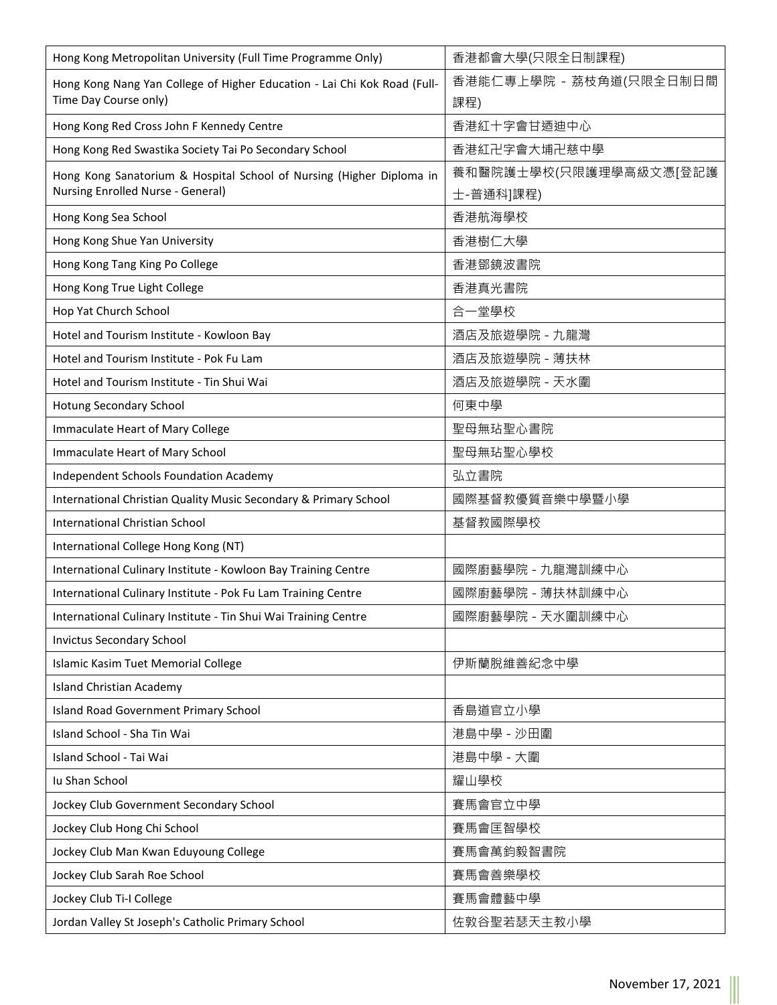| Hong Kong Metropolitan University (Full Time Programme Only)             | 香港都會大學(只限全日制課程)         |
|--------------------------------------------------------------------------|-------------------------|
| Hong Kong Nang Yan College of Higher Education - Lai Chi Kok Road (Full- | 香港能仁專上學院 - 荔枝角道(只限全日制日間 |
| Time Day Course only)                                                    | 課程)                     |
| Hong Kong Red Cross John F Kennedy Centre                                | 香港紅十字會甘迺迪中心             |
| Hong Kong Red Swastika Society Tai Po Secondary School                   | 香港紅卍字會大埔卍慈中學            |
| Hong Kong Sanatorium & Hospital School of Nursing (Higher Diploma in     | 養和醫院護士學校(只限護理學高級文憑[登記護  |
| Nursing Enrolled Nurse - General)                                        | 士-普通科]課程)               |
| Hong Kong Sea School                                                     | 香港航海學校                  |
| Hong Kong Shue Yan University                                            | 香港樹仁大學                  |
| Hong Kong Tang King Po College                                           | 香港鄧鏡波書院                 |
| Hong Kong True Light College                                             | 香港真光書院                  |
| Hop Yat Church School                                                    | 合一堂學校                   |
| Hotel and Tourism Institute - Kowloon Bay                                | 酒店及旅遊學院 - 九龍灣           |
| Hotel and Tourism Institute - Pok Fu Lam                                 | 酒店及旅遊學院 - 薄扶林           |
| Hotel and Tourism Institute - Tin Shui Wai                               | 酒店及旅遊學院 - 天水圍           |
| Hotung Secondary School                                                  | 何東中學                    |
| Immaculate Heart of Mary College                                         | 聖母無玷聖心書院                |
| Immaculate Heart of Mary School                                          | 聖母無玷聖心學校                |
| Independent Schools Foundation Academy                                   | 弘立書院                    |
| International Christian Quality Music Secondary & Primary School         | 國際基督教優質音樂中學暨小學          |
| <b>International Christian School</b>                                    | 基督教國際學校                 |
| International College Hong Kong (NT)                                     |                         |
| International Culinary Institute - Kowloon Bay Training Centre           | 國際廚藝學院 - 九龍灣訓練中心        |
| International Culinary Institute - Pok Fu Lam Training Centre            | 國際廚藝學院 - 薄扶林訓練中心        |
| International Culinary Institute - Tin Shui Wai Training Centre          | 國際廚藝學院 - 天水圍訓練中心        |
| <b>Invictus Secondary School</b>                                         |                         |
| Islamic Kasim Tuet Memorial College                                      | 伊斯蘭脫維善紀念中學              |
| <b>Island Christian Academy</b>                                          |                         |
| Island Road Government Primary School                                    | 香島道官立小學                 |
| Island School - Sha Tin Wai                                              | 港島中學 - 沙田圍              |
| Island School - Tai Wai                                                  | 港島中學 - 大圍               |
| Iu Shan School                                                           | 耀山學校                    |
| Jockey Club Government Secondary School                                  | 賽馬會官立中學                 |
| Jockey Club Hong Chi School                                              | 賽馬會匡智學校                 |
| Jockey Club Man Kwan Eduyoung College                                    | 賽馬會萬鈞毅智書院               |
| Jockey Club Sarah Roe School                                             | 賽馬會善樂學校                 |
| Jockey Club Ti-I College                                                 | 賽馬會體藝中學                 |
| Jordan Valley St Joseph's Catholic Primary School                        | 佐敦谷聖若瑟天主教小學             |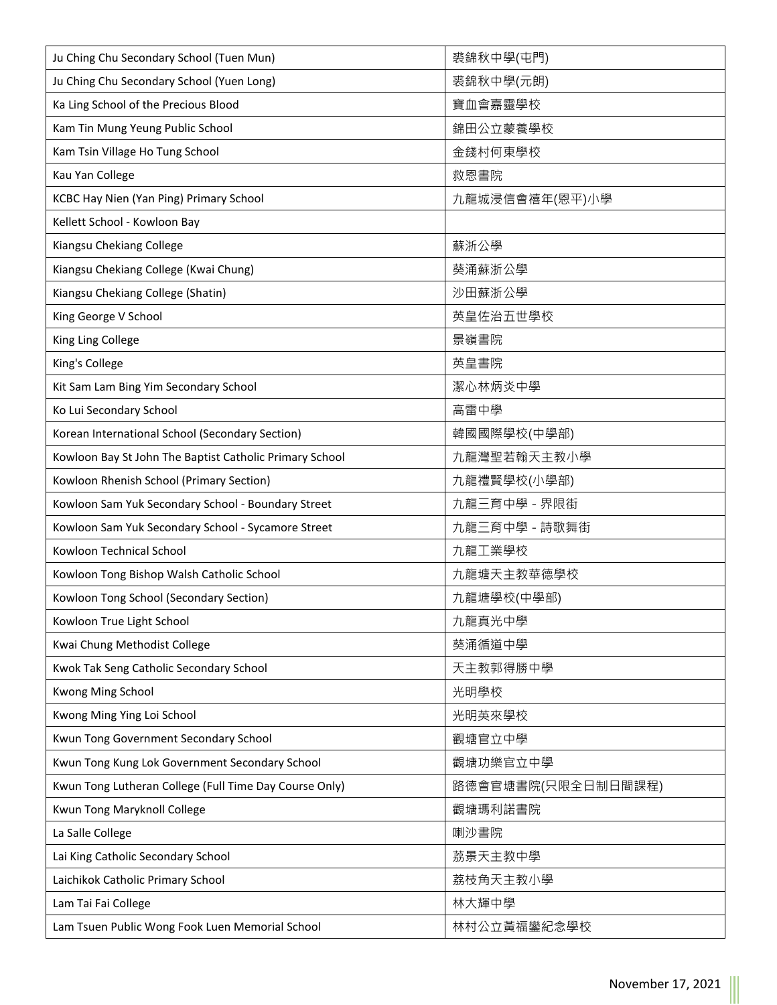| Ju Ching Chu Secondary School (Tuen Mun)                | 裘錦秋中學(屯門)          |
|---------------------------------------------------------|--------------------|
| Ju Ching Chu Secondary School (Yuen Long)               | 裘錦秋中學(元朗)          |
| Ka Ling School of the Precious Blood                    | 寶血會嘉靈學校            |
| Kam Tin Mung Yeung Public School                        | 錦田公立蒙養學校           |
| Kam Tsin Village Ho Tung School                         | 金錢村何東學校            |
| Kau Yan College                                         | 救恩書院               |
| KCBC Hay Nien (Yan Ping) Primary School                 | 九龍城浸信會禧年(恩平)小學     |
| Kellett School - Kowloon Bay                            |                    |
| Kiangsu Chekiang College                                | 蘇浙公學               |
| Kiangsu Chekiang College (Kwai Chung)                   | 葵涌蘇浙公學             |
| Kiangsu Chekiang College (Shatin)                       | 沙田蘇浙公學             |
| King George V School                                    | 英皇佐治五世學校           |
| King Ling College                                       | 景嶺書院               |
| King's College                                          | 英皇書院               |
| Kit Sam Lam Bing Yim Secondary School                   | 潔心林炳炎中學            |
| Ko Lui Secondary School                                 | 高雷中學               |
| Korean International School (Secondary Section)         | 韓國國際學校(中學部)        |
| Kowloon Bay St John The Baptist Catholic Primary School | 九龍灣聖若翰天主教小學        |
| Kowloon Rhenish School (Primary Section)                | 九龍禮賢學校(小學部)        |
| Kowloon Sam Yuk Secondary School - Boundary Street      | 九龍三育中學 - 界限街       |
| Kowloon Sam Yuk Secondary School - Sycamore Street      | 九龍三育中學 - 詩歌舞街      |
| Kowloon Technical School                                | 九龍工業學校             |
| Kowloon Tong Bishop Walsh Catholic School               | 九龍塘天主教華德學校         |
| Kowloon Tong School (Secondary Section)                 | 九龍塘學校(中學部)         |
| Kowloon True Light School                               | 九龍真光中學             |
| Kwai Chung Methodist College                            | 葵涌循道中學             |
| Kwok Tak Seng Catholic Secondary School                 | 天主教郭得勝中學           |
| Kwong Ming School                                       | 光明學校               |
| Kwong Ming Ying Loi School                              | 光明英來學校             |
| Kwun Tong Government Secondary School                   | 觀塘官立中學             |
| Kwun Tong Kung Lok Government Secondary School          | 觀塘功樂官立中學           |
| Kwun Tong Lutheran College (Full Time Day Course Only)  | 路德會官塘書院(只限全日制日間課程) |
| Kwun Tong Maryknoll College                             | 觀塘瑪利諾書院            |
| La Salle College                                        | 喇沙書院               |
| Lai King Catholic Secondary School                      | 荔景天主教中學            |
| Laichikok Catholic Primary School                       | 荔枝角天主教小學           |
| Lam Tai Fai College                                     | 林大輝中學              |
| Lam Tsuen Public Wong Fook Luen Memorial School         | 林村公立黃福鑾紀念學校        |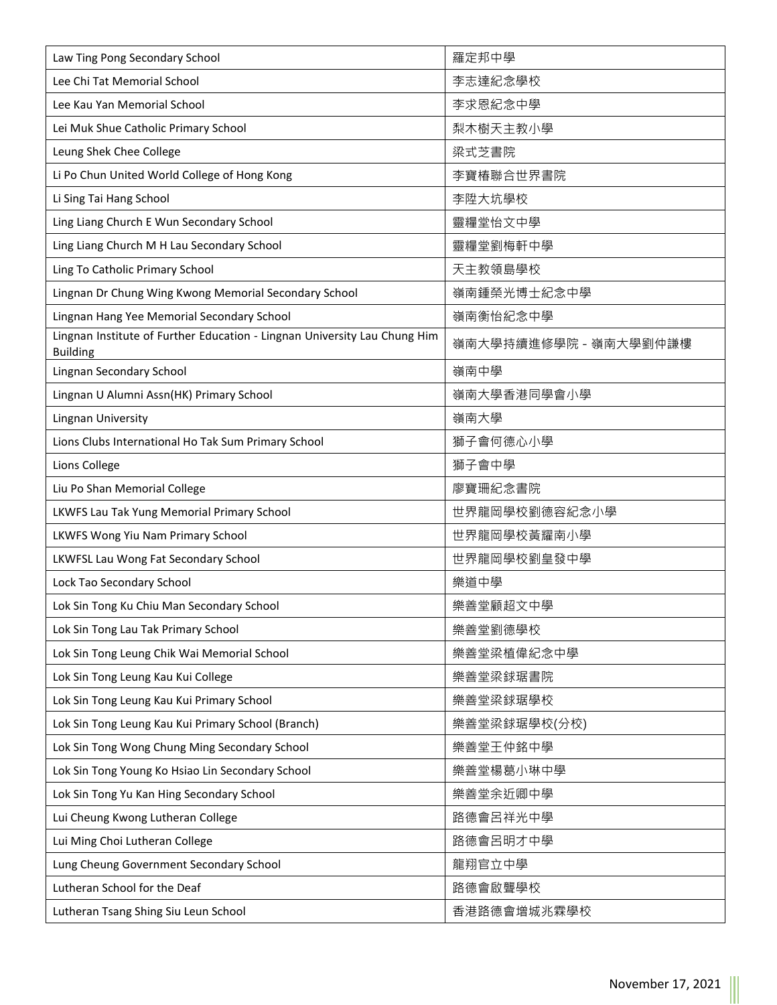| Law Ting Pong Secondary School                                                               | 羅定邦中學                 |
|----------------------------------------------------------------------------------------------|-----------------------|
| Lee Chi Tat Memorial School                                                                  | 李志達紀念學校               |
| Lee Kau Yan Memorial School                                                                  | 李求恩紀念中學               |
| Lei Muk Shue Catholic Primary School                                                         | 梨木樹天主教小學              |
| Leung Shek Chee College                                                                      | 梁式芝書院                 |
| Li Po Chun United World College of Hong Kong                                                 | 李寶椿聯合世界書院             |
| Li Sing Tai Hang School                                                                      | 李陞大坑學校                |
| Ling Liang Church E Wun Secondary School                                                     | 靈糧堂怡文中學               |
| Ling Liang Church M H Lau Secondary School                                                   | 靈糧堂劉梅軒中學              |
| Ling To Catholic Primary School                                                              | 天主教領島學校               |
| Lingnan Dr Chung Wing Kwong Memorial Secondary School                                        | 嶺南鍾榮光博士紀念中學           |
| Lingnan Hang Yee Memorial Secondary School                                                   | 嶺南衡怡紀念中學              |
| Lingnan Institute of Further Education - Lingnan University Lau Chung Him<br><b>Building</b> | 嶺南大學持續進修學院 - 嶺南大學劉仲謙樓 |
| Lingnan Secondary School                                                                     | 嶺南中學                  |
| Lingnan U Alumni Assn(HK) Primary School                                                     | 嶺南大學香港同學會小學           |
| Lingnan University                                                                           | 嶺南大學                  |
| Lions Clubs International Ho Tak Sum Primary School                                          | 獅子會何德心小學              |
| Lions College                                                                                | 獅子會中學                 |
| Liu Po Shan Memorial College                                                                 | 廖寶珊紀念書院               |
| LKWFS Lau Tak Yung Memorial Primary School                                                   | 世界龍岡學校劉德容紀念小學         |
| LKWFS Wong Yiu Nam Primary School                                                            | 世界龍岡學校黃耀南小學           |
| LKWFSL Lau Wong Fat Secondary School                                                         | 世界龍岡學校劉皇發中學           |
| Lock Tao Secondary School                                                                    | 樂道中學                  |
| Lok Sin Tong Ku Chiu Man Secondary School                                                    | 樂善堂顧超文中學              |
| Lok Sin Tong Lau Tak Primary School                                                          | 樂善堂劉德學校               |
| Lok Sin Tong Leung Chik Wai Memorial School                                                  | 樂善堂梁植偉紀念中學            |
| Lok Sin Tong Leung Kau Kui College                                                           | 樂善堂梁銶琚書院              |
| Lok Sin Tong Leung Kau Kui Primary School                                                    | 樂善堂梁銶琚學校              |
| Lok Sin Tong Leung Kau Kui Primary School (Branch)                                           | 樂善堂梁銶琚學校(分校)          |
| Lok Sin Tong Wong Chung Ming Secondary School                                                | 樂善堂王仲銘中學              |
| Lok Sin Tong Young Ko Hsiao Lin Secondary School                                             | 樂善堂楊葛小琳中學             |
| Lok Sin Tong Yu Kan Hing Secondary School                                                    | 樂善堂余近卿中學              |
| Lui Cheung Kwong Lutheran College                                                            | 路德會呂祥光中學              |
| Lui Ming Choi Lutheran College                                                               | 路德會呂明才中學              |
| Lung Cheung Government Secondary School                                                      | 龍翔官立中學                |
| Lutheran School for the Deaf                                                                 | 路德會啟聾學校               |
| Lutheran Tsang Shing Siu Leun School                                                         | 香港路德會增城兆霖學校           |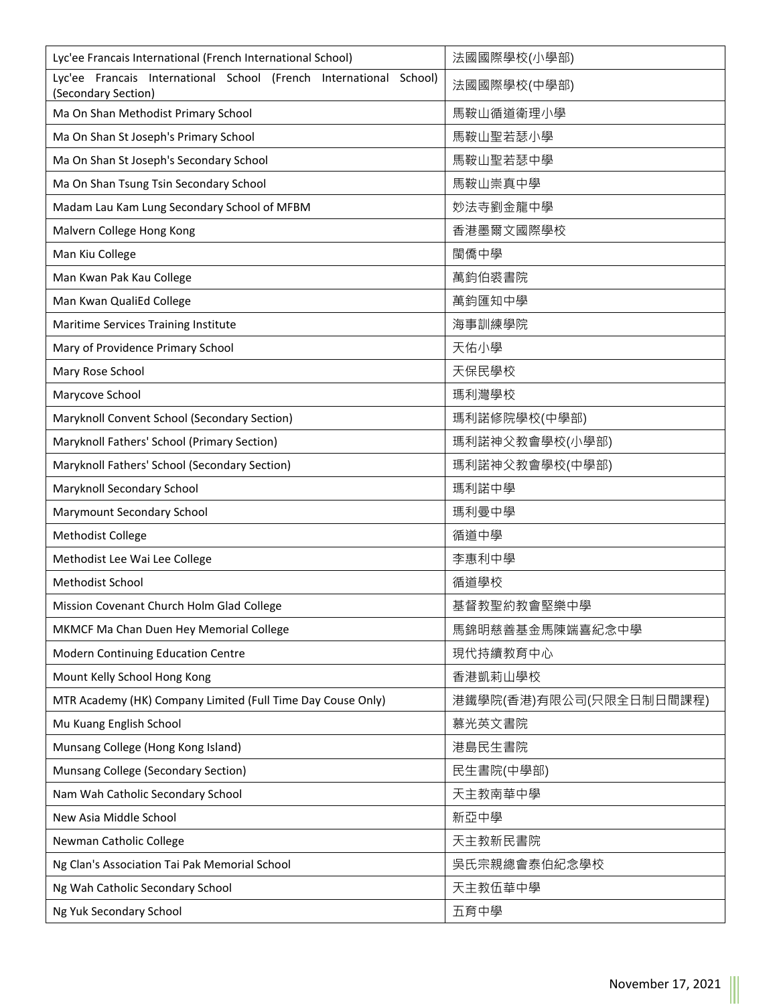| Lyc'ee Francais International (French International School)                               | 法國國際學校(小學部)             |
|-------------------------------------------------------------------------------------------|-------------------------|
| Lyc'ee Francais International School (French International School)<br>(Secondary Section) | 法國國際學校(中學部)             |
| Ma On Shan Methodist Primary School                                                       | 馬鞍山循道衛理小學               |
| Ma On Shan St Joseph's Primary School                                                     | 馬鞍山聖若瑟小學                |
| Ma On Shan St Joseph's Secondary School                                                   | 馬鞍山聖若瑟中學                |
| Ma On Shan Tsung Tsin Secondary School                                                    | 馬鞍山崇真中學                 |
| Madam Lau Kam Lung Secondary School of MFBM                                               | 妙法寺劉金龍中學                |
| Malvern College Hong Kong                                                                 | 香港墨爾文國際學校               |
| Man Kiu College                                                                           | 閩僑中學                    |
| Man Kwan Pak Kau College                                                                  | 萬鈞伯裘書院                  |
| Man Kwan QualiEd College                                                                  | 萬鈞匯知中學                  |
| Maritime Services Training Institute                                                      | 海事訓練學院                  |
| Mary of Providence Primary School                                                         | 天佑小學                    |
| Mary Rose School                                                                          | 天保民學校                   |
| Marycove School                                                                           | 瑪利灣學校                   |
| Maryknoll Convent School (Secondary Section)                                              | 瑪利諾修院學校(中學部)            |
| Maryknoll Fathers' School (Primary Section)                                               | 瑪利諾神父教會學校(小學部)          |
| Maryknoll Fathers' School (Secondary Section)                                             | 瑪利諾神父教會學校(中學部)          |
| Maryknoll Secondary School                                                                | 瑪利諾中學                   |
| Marymount Secondary School                                                                | 瑪利曼中學                   |
| Methodist College                                                                         | 循道中學                    |
| Methodist Lee Wai Lee College                                                             | 李惠利中學                   |
| Methodist School                                                                          | 循道學校                    |
| Mission Covenant Church Holm Glad College                                                 | 基督教聖約教會堅樂中學             |
| MKMCF Ma Chan Duen Hey Memorial College                                                   | 馬錦明慈善基金馬陳端喜紀念中學         |
| Modern Continuing Education Centre                                                        | 現代持續教育中心                |
| Mount Kelly School Hong Kong                                                              | 香港凱莉山學校                 |
| MTR Academy (HK) Company Limited (Full Time Day Couse Only)                               | 港鐵學院(香港)有限公司(只限全日制日間課程) |
| Mu Kuang English School                                                                   | 慕光英文書院                  |
| Munsang College (Hong Kong Island)                                                        | 港島民生書院                  |
| Munsang College (Secondary Section)                                                       | 民生書院(中學部)               |
| Nam Wah Catholic Secondary School                                                         | 天主教南華中學                 |
| New Asia Middle School                                                                    | 新亞中學                    |
| Newman Catholic College                                                                   | 天主教新民書院                 |
| Ng Clan's Association Tai Pak Memorial School                                             | 吳氏宗親總會泰伯紀念學校            |
| Ng Wah Catholic Secondary School                                                          | 天主教伍華中學                 |
| Ng Yuk Secondary School                                                                   | 五育中學                    |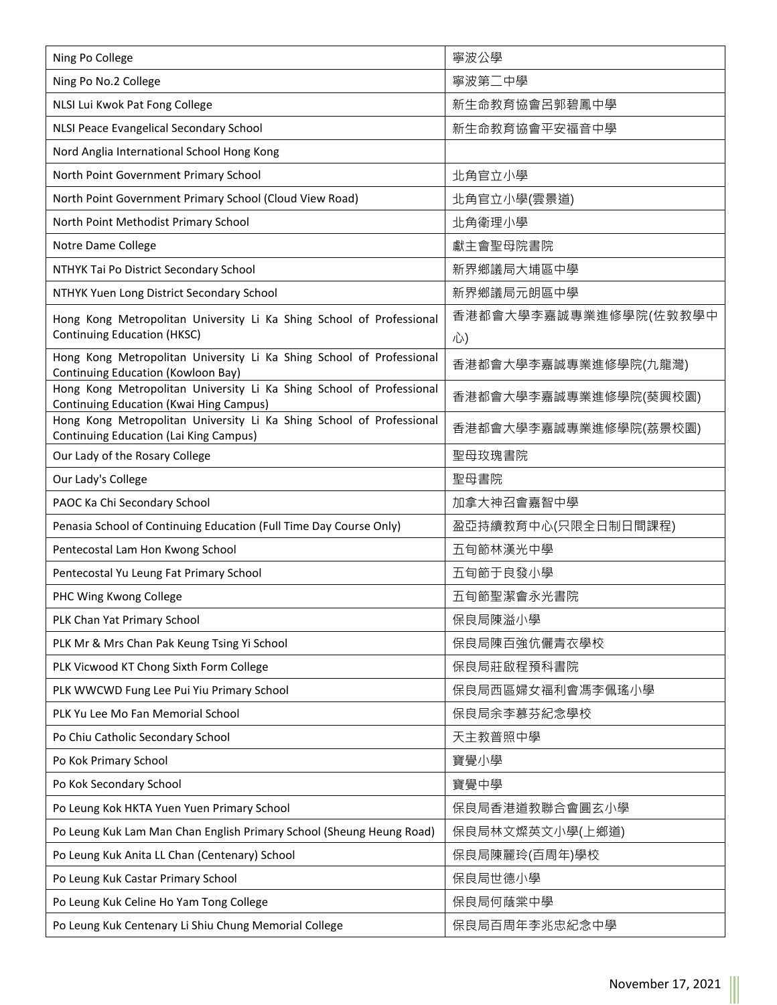| Ning Po College                                                                                                 | 寧波公學                  |
|-----------------------------------------------------------------------------------------------------------------|-----------------------|
| Ning Po No.2 College                                                                                            | 寧波第二中學                |
| NLSI Lui Kwok Pat Fong College                                                                                  | 新生命教育協會呂郭碧鳳中學         |
| NLSI Peace Evangelical Secondary School                                                                         | 新生命教育協會平安福音中學         |
| Nord Anglia International School Hong Kong                                                                      |                       |
| North Point Government Primary School                                                                           | 北角官立小學                |
| North Point Government Primary School (Cloud View Road)                                                         | 北角官立小學(雲景道)           |
| North Point Methodist Primary School                                                                            | 北角衛理小學                |
| Notre Dame College                                                                                              | 獻主會聖母院書院              |
| NTHYK Tai Po District Secondary School                                                                          | 新界鄉議局大埔區中學            |
| NTHYK Yuen Long District Secondary School                                                                       | 新界鄉議局元朗區中學            |
| Hong Kong Metropolitan University Li Ka Shing School of Professional                                            | 香港都會大學李嘉誠專業進修學院(佐敦教學中 |
| <b>Continuing Education (HKSC)</b>                                                                              | 心)                    |
| Hong Kong Metropolitan University Li Ka Shing School of Professional<br>Continuing Education (Kowloon Bay)      | 香港都會大學李嘉誠專業進修學院(九龍灣)  |
| Hong Kong Metropolitan University Li Ka Shing School of Professional<br>Continuing Education (Kwai Hing Campus) | 香港都會大學李嘉誠專業進修學院(葵興校園) |
| Hong Kong Metropolitan University Li Ka Shing School of Professional<br>Continuing Education (Lai King Campus)  | 香港都會大學李嘉誠專業進修學院(荔景校園) |
| Our Lady of the Rosary College                                                                                  | 聖母玫瑰書院                |
| Our Lady's College                                                                                              | 聖母書院                  |
| PAOC Ka Chi Secondary School                                                                                    | 加拿大神召會嘉智中學            |
| Penasia School of Continuing Education (Full Time Day Course Only)                                              | 盈亞持續教育中心(只限全日制日間課程)   |
| Pentecostal Lam Hon Kwong School                                                                                | 五旬節林漢光中學              |
| Pentecostal Yu Leung Fat Primary School                                                                         | 五旬節于良發小學              |
| PHC Wing Kwong College                                                                                          | 五旬節聖潔會永光書院            |
| PLK Chan Yat Primary School                                                                                     | 保良局陳溢小學               |
| PLK Mr & Mrs Chan Pak Keung Tsing Yi School                                                                     | 保良局陳百強伉儷青衣學校          |
| PLK Vicwood KT Chong Sixth Form College                                                                         | 保良局莊啟程預科書院            |
| PLK WWCWD Fung Lee Pui Yiu Primary School                                                                       | 保良局西區婦女福利會馮李佩瑤小學      |
| PLK Yu Lee Mo Fan Memorial School                                                                               | 保良局余李慕芬紀念學校           |
| Po Chiu Catholic Secondary School                                                                               | 天主教普照中學               |
| Po Kok Primary School                                                                                           | 寶覺小學                  |
| Po Kok Secondary School                                                                                         | 寶覺中學                  |
| Po Leung Kok HKTA Yuen Yuen Primary School                                                                      | 保良局香港道教聯合會圓玄小學        |
| Po Leung Kuk Lam Man Chan English Primary School (Sheung Heung Road)                                            | 保良局林文燦英文小學(上鄉道)       |
| Po Leung Kuk Anita LL Chan (Centenary) School                                                                   | 保良局陳麗玲(百周年)學校         |
| Po Leung Kuk Castar Primary School                                                                              | 保良局世德小學               |
| Po Leung Kuk Celine Ho Yam Tong College                                                                         | 保良局何蔭棠中學              |
| Po Leung Kuk Centenary Li Shiu Chung Memorial College                                                           | 保良局百周年李兆忠紀念中學         |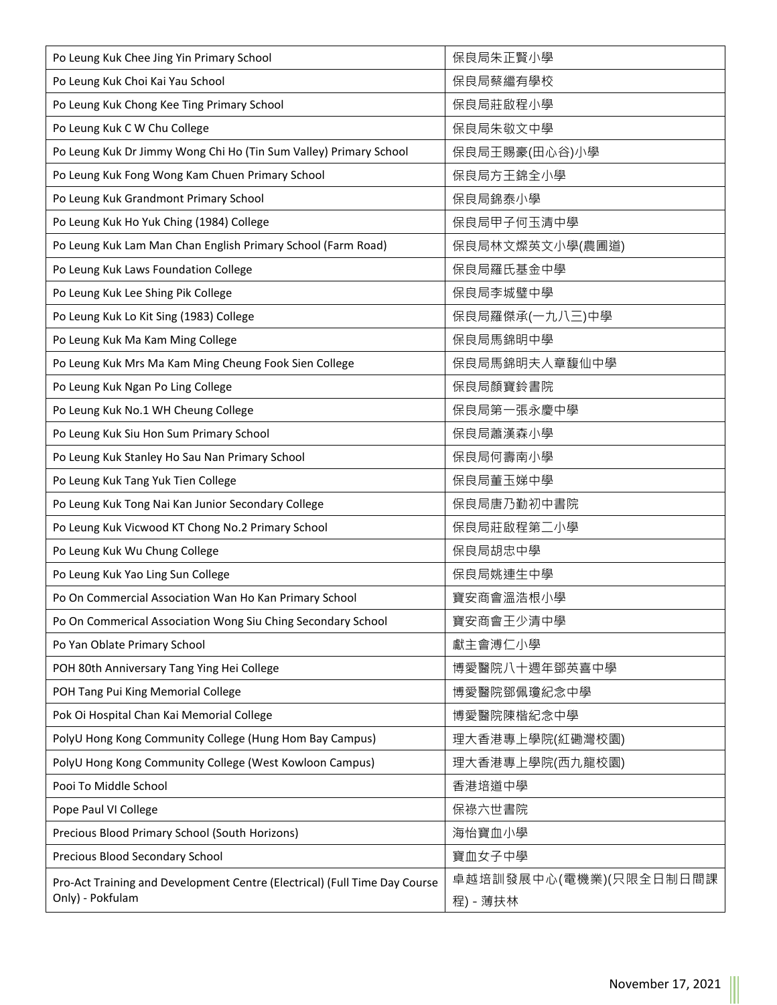| Po Leung Kuk Chee Jing Yin Primary School                                                      | 保良局朱正賢小學                           |
|------------------------------------------------------------------------------------------------|------------------------------------|
| Po Leung Kuk Choi Kai Yau School                                                               | 保良局蔡繼有學校                           |
| Po Leung Kuk Chong Kee Ting Primary School                                                     | 保良局莊啟程小學                           |
| Po Leung Kuk C W Chu College                                                                   | 保良局朱敬文中學                           |
| Po Leung Kuk Dr Jimmy Wong Chi Ho (Tin Sum Valley) Primary School                              | 保良局王賜豪(田心谷)小學                      |
| Po Leung Kuk Fong Wong Kam Chuen Primary School                                                | 保良局方王錦全小學                          |
| Po Leung Kuk Grandmont Primary School                                                          | 保良局錦泰小學                            |
| Po Leung Kuk Ho Yuk Ching (1984) College                                                       | 保良局甲子何玉清中學                         |
| Po Leung Kuk Lam Man Chan English Primary School (Farm Road)                                   | 保良局林文燦英文小學(農圃道)                    |
| Po Leung Kuk Laws Foundation College                                                           | 保良局羅氏基金中學                          |
| Po Leung Kuk Lee Shing Pik College                                                             | 保良局李城璧中學                           |
| Po Leung Kuk Lo Kit Sing (1983) College                                                        | 保良局羅傑承(一九八三)中學                     |
| Po Leung Kuk Ma Kam Ming College                                                               | 保良局馬錦明中學                           |
| Po Leung Kuk Mrs Ma Kam Ming Cheung Fook Sien College                                          | 保良局馬錦明夫人章馥仙中學                      |
| Po Leung Kuk Ngan Po Ling College                                                              | 保良局顏寶鈴書院                           |
| Po Leung Kuk No.1 WH Cheung College                                                            | 保良局第一張永慶中學                         |
| Po Leung Kuk Siu Hon Sum Primary School                                                        | 保良局蕭漢森小學                           |
| Po Leung Kuk Stanley Ho Sau Nan Primary School                                                 | 保良局何壽南小學                           |
| Po Leung Kuk Tang Yuk Tien College                                                             | 保良局董玉娣中學                           |
| Po Leung Kuk Tong Nai Kan Junior Secondary College                                             | 保良局唐乃勤初中書院                         |
| Po Leung Kuk Vicwood KT Chong No.2 Primary School                                              | 保良局莊啟程第二小學                         |
| Po Leung Kuk Wu Chung College                                                                  | 保良局胡忠中學                            |
| Po Leung Kuk Yao Ling Sun College                                                              | 保良局姚連生中學                           |
| Po On Commercial Association Wan Ho Kan Primary School                                         | 寶安商會溫浩根小學                          |
| Po On Commerical Association Wong Siu Ching Secondary School                                   | 寶安商會王少清中學                          |
| Po Yan Oblate Primary School                                                                   | 獻主會溥仁小學                            |
| POH 80th Anniversary Tang Ying Hei College                                                     | 博愛醫院八十週年鄧英喜中學                      |
| POH Tang Pui King Memorial College                                                             | 博愛醫院鄧佩瓊紀念中學                        |
| Pok Oi Hospital Chan Kai Memorial College                                                      | 博愛醫院陳楷紀念中學                         |
| PolyU Hong Kong Community College (Hung Hom Bay Campus)                                        | 理大香港專上學院(紅磡灣校園)                    |
| PolyU Hong Kong Community College (West Kowloon Campus)                                        | 理大香港專上學院(西九龍校園)                    |
| Pooi To Middle School                                                                          | 香港培道中學                             |
| Pope Paul VI College                                                                           | 保祿六世書院                             |
| Precious Blood Primary School (South Horizons)                                                 | 海怡寶血小學                             |
| Precious Blood Secondary School                                                                | 寶血女子中學                             |
| Pro-Act Training and Development Centre (Electrical) (Full Time Day Course<br>Only) - Pokfulam | 卓越培訓發展中心(電機業)(只限全日制日間課<br>程) - 薄扶林 |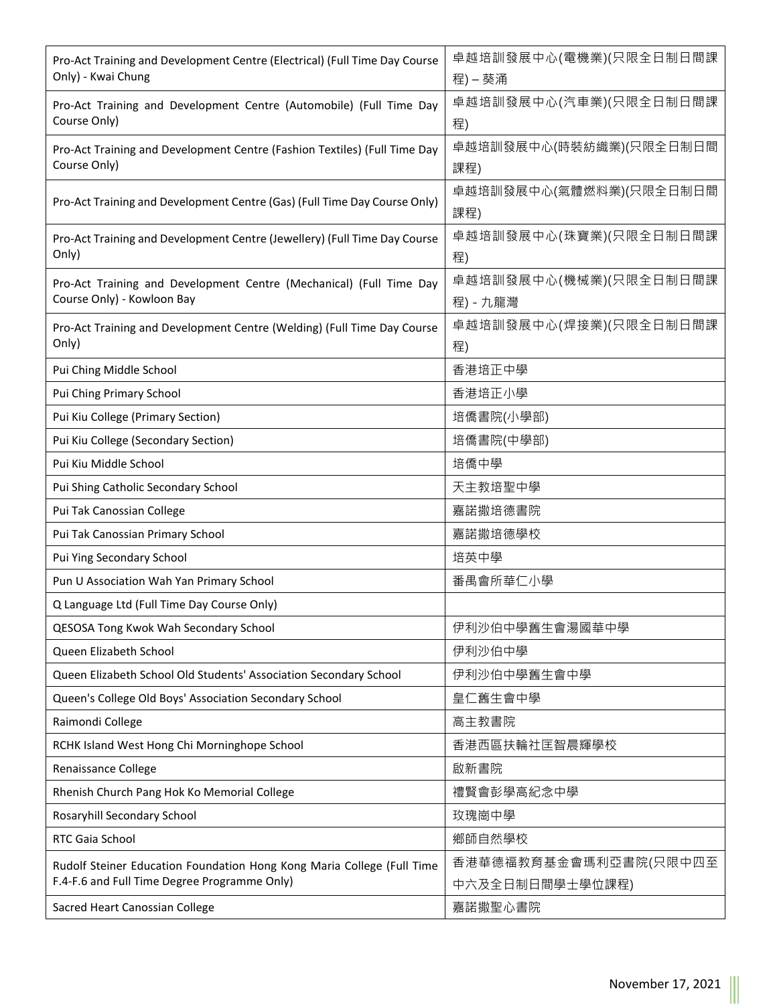| Pro-Act Training and Development Centre (Electrical) (Full Time Day Course<br>Only) - Kwai Chung                       | 卓越培訓發展中心(電機業)(只限全日制日間課<br>程)-葵涌          |
|------------------------------------------------------------------------------------------------------------------------|------------------------------------------|
| Pro-Act Training and Development Centre (Automobile) (Full Time Day<br>Course Only)                                    | 卓越培訓發展中心(汽車業)(只限全日制日間課<br>程)             |
| Pro-Act Training and Development Centre (Fashion Textiles) (Full Time Day<br>Course Only)                              | 卓越培訓發展中心(時裝紡織業)(只限全日制日間<br>課程)           |
| Pro-Act Training and Development Centre (Gas) (Full Time Day Course Only)                                              | 卓越培訓發展中心(氣體燃料業)(只限全日制日間<br>課程)           |
| Pro-Act Training and Development Centre (Jewellery) (Full Time Day Course<br>Only)                                     | 卓越培訓發展中心(珠寶業)(只限全日制日間課<br>程)             |
| Pro-Act Training and Development Centre (Mechanical) (Full Time Day<br>Course Only) - Kowloon Bay                      | 卓越培訓發展中心(機械業)(只限全日制日間課<br>程) - 九龍灣       |
| Pro-Act Training and Development Centre (Welding) (Full Time Day Course<br>Only)                                       | 卓越培訓發展中心(焊接業)(只限全日制日間課<br>程)             |
| Pui Ching Middle School                                                                                                | 香港培正中學                                   |
| Pui Ching Primary School                                                                                               | 香港培正小學                                   |
| Pui Kiu College (Primary Section)                                                                                      | 培僑書院(小學部)                                |
| Pui Kiu College (Secondary Section)                                                                                    | 培僑書院(中學部)                                |
| Pui Kiu Middle School                                                                                                  | 培僑中學                                     |
| Pui Shing Catholic Secondary School                                                                                    | 天主教培聖中學                                  |
| Pui Tak Canossian College                                                                                              | 嘉諾撒培德書院                                  |
| Pui Tak Canossian Primary School                                                                                       | 嘉諾撒培德學校                                  |
| Pui Ying Secondary School                                                                                              | 培英中學                                     |
| Pun U Association Wah Yan Primary School                                                                               | 番禺會所華仁小學                                 |
| Q Language Ltd (Full Time Day Course Only)                                                                             |                                          |
| QESOSA Tong Kwok Wah Secondary School                                                                                  | 伊利沙伯中學舊生會湯國華中學                           |
| <b>Oueen Elizabeth School</b>                                                                                          | 伊利沙伯中學                                   |
| Queen Elizabeth School Old Students' Association Secondary School                                                      | 伊利沙伯中學舊生會中學                              |
| Queen's College Old Boys' Association Secondary School                                                                 | 皇仁舊生會中學                                  |
| Raimondi College                                                                                                       | 高主教書院                                    |
| RCHK Island West Hong Chi Morninghope School                                                                           | 香港西區扶輪社匡智晨輝學校                            |
| Renaissance College                                                                                                    | 啟新書院                                     |
| Rhenish Church Pang Hok Ko Memorial College                                                                            | 禮賢會彭學高紀念中學                               |
| Rosaryhill Secondary School                                                                                            | 玫瑰崗中學                                    |
| RTC Gaia School                                                                                                        | 鄉師自然學校                                   |
| Rudolf Steiner Education Foundation Hong Kong Maria College (Full Time<br>F.4-F.6 and Full Time Degree Programme Only) | 香港華德福教育基金會瑪利亞書院(只限中四至<br>中六及全日制日間學士學位課程) |
| Sacred Heart Canossian College                                                                                         | 嘉諾撒聖心書院                                  |
|                                                                                                                        |                                          |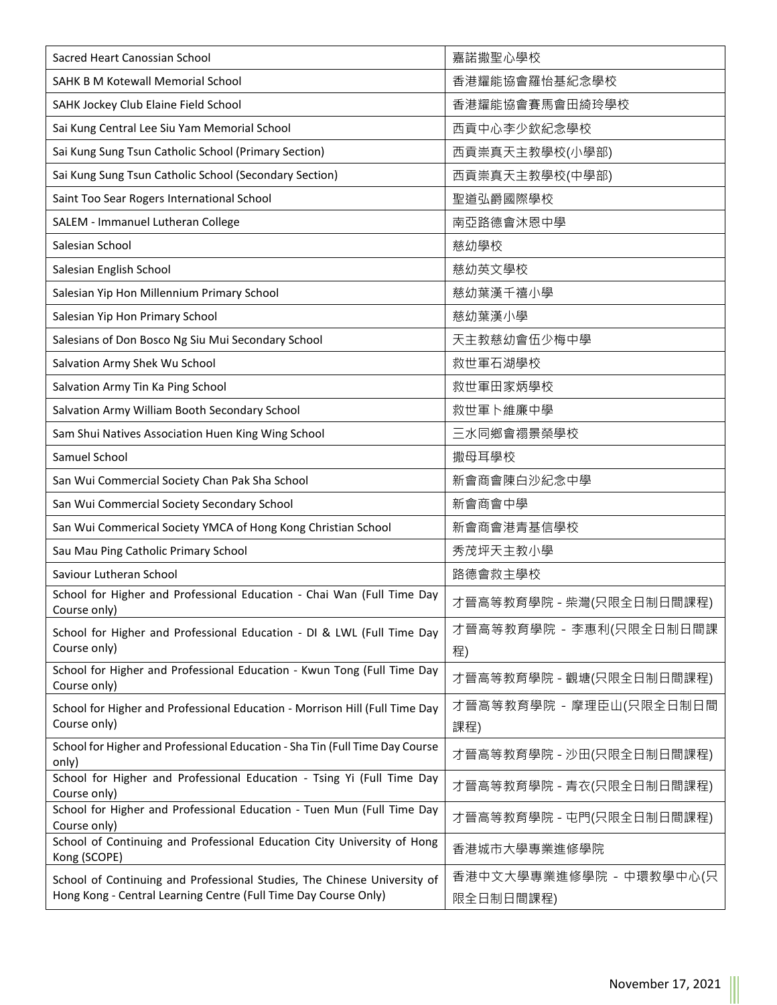| Sacred Heart Canossian School                                                               | 嘉諾撒聖心學校                        |
|---------------------------------------------------------------------------------------------|--------------------------------|
| SAHK B M Kotewall Memorial School                                                           | 香港耀能協會羅怡基紀念學校                  |
| SAHK Jockey Club Elaine Field School                                                        | 香港耀能協會賽馬會田綺玲學校                 |
| Sai Kung Central Lee Siu Yam Memorial School                                                | 西貢中心李少欽紀念學校                    |
| Sai Kung Sung Tsun Catholic School (Primary Section)                                        | 西貢崇真天主教學校(小學部)                 |
| Sai Kung Sung Tsun Catholic School (Secondary Section)                                      | 西貢崇真天主教學校(中學部)                 |
| Saint Too Sear Rogers International School                                                  | 聖道弘爵國際學校                       |
| SALEM - Immanuel Lutheran College                                                           | 南亞路德會沐恩中學                      |
| Salesian School                                                                             | 慈幼學校                           |
| Salesian English School                                                                     | 慈幼英文學校                         |
| Salesian Yip Hon Millennium Primary School                                                  | 慈幼葉漢千禧小學                       |
| Salesian Yip Hon Primary School                                                             | 慈幼葉漢小學                         |
| Salesians of Don Bosco Ng Siu Mui Secondary School                                          | 天主教慈幼會伍少梅中學                    |
| Salvation Army Shek Wu School                                                               | 救世軍石湖學校                        |
| Salvation Army Tin Ka Ping School                                                           | 救世軍田家炳學校                       |
| Salvation Army William Booth Secondary School                                               | 救世軍卜維廉中學                       |
| Sam Shui Natives Association Huen King Wing School                                          | 三水同鄉會禤景榮學校                     |
| Samuel School                                                                               | 撒母耳學校                          |
| San Wui Commercial Society Chan Pak Sha School                                              | 新會商會陳白沙紀念中學                    |
| San Wui Commercial Society Secondary School                                                 | 新會商會中學                         |
| San Wui Commerical Society YMCA of Hong Kong Christian School                               | 新會商會港青基信學校                     |
| Sau Mau Ping Catholic Primary School                                                        | 秀茂坪天主教小學                       |
| Saviour Lutheran School                                                                     | 路德會救主學校                        |
| School for Higher and Professional Education - Chai Wan (Full Time Day<br>Course only)      | 才晉高等教育學院 - 柴灣(只限全日制日間課程)       |
| School for Higher and Professional Education - DI & LWL (Full Time Day<br>Course only)      | 才晉高等教育學院 - 李惠利(只限全日制日間課<br>程)  |
| School for Higher and Professional Education - Kwun Tong (Full Time Day<br>Course only)     | 才晉高等教育學院 - 觀塘(只限全日制日間課程)       |
| School for Higher and Professional Education - Morrison Hill (Full Time Day<br>Course only) | 才晉高等教育學院 - 摩理臣山(只限全日制日間<br>課程) |
| School for Higher and Professional Education - Sha Tin (Full Time Day Course<br>only)       | 才晉高等教育學院 - 沙田(只限全日制日間課程)       |
| School for Higher and Professional Education - Tsing Yi (Full Time Day<br>Course only)      | 才晉高等教育學院 - 青衣(只限全日制日間課程)       |
| School for Higher and Professional Education - Tuen Mun (Full Time Day<br>Course only)      | 才晉高等教育學院 - 屯門(只限全日制日間課程)       |
| School of Continuing and Professional Education City University of Hong<br>Kong (SCOPE)     | 香港城市大學專業進修學院                   |
| School of Continuing and Professional Studies, The Chinese University of                    | 香港中文大學專業進修學院 - 中環教學中心(只        |
| Hong Kong - Central Learning Centre (Full Time Day Course Only)                             | 限全日制日間課程)                      |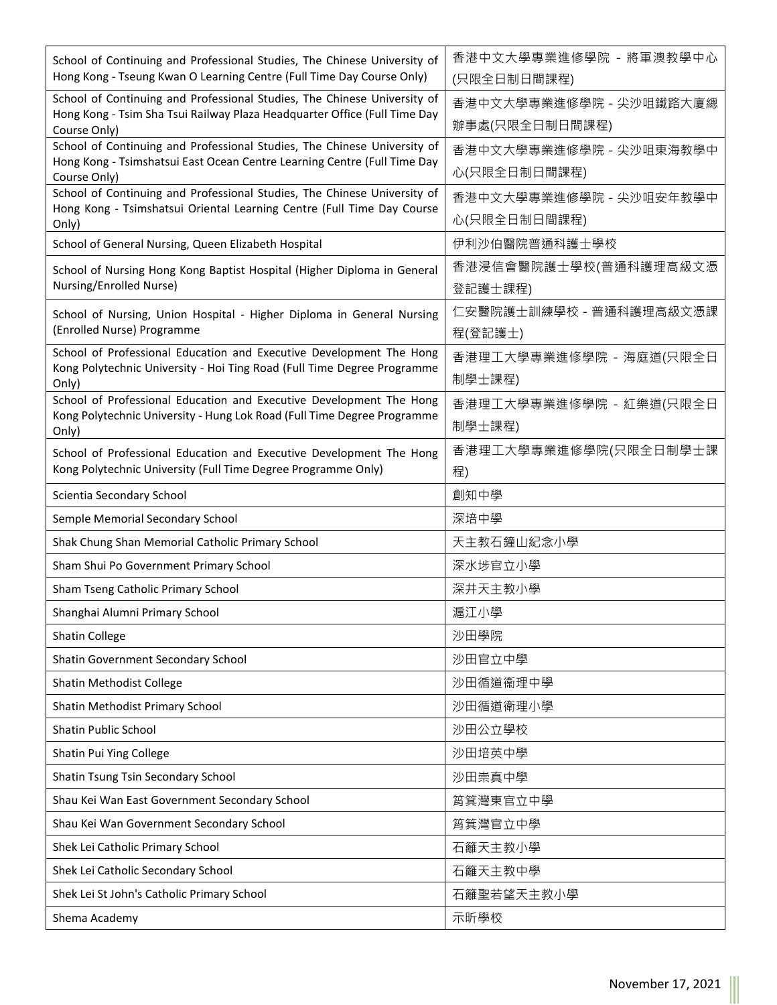| School of Continuing and Professional Studies, The Chinese University of<br>Hong Kong - Tseung Kwan O Learning Centre (Full Time Day Course Only)                     | 香港中文大學專業進修學院 - 將軍澳教學中心<br>(只限全日制日間課程)     |
|-----------------------------------------------------------------------------------------------------------------------------------------------------------------------|-------------------------------------------|
| School of Continuing and Professional Studies, The Chinese University of<br>Hong Kong - Tsim Sha Tsui Railway Plaza Headquarter Office (Full Time Day<br>Course Only) | 香港中文大學專業進修學院 - 尖沙咀鐵路大廈總<br>辦事處(只限全日制日間課程) |
| School of Continuing and Professional Studies, The Chinese University of<br>Hong Kong - Tsimshatsui East Ocean Centre Learning Centre (Full Time Day<br>Course Only)  | 香港中文大學專業進修學院 - 尖沙咀東海教學中<br>心(只限全日制日間課程)   |
| School of Continuing and Professional Studies, The Chinese University of<br>Hong Kong - Tsimshatsui Oriental Learning Centre (Full Time Day Course<br>Only)           | 香港中文大學專業進修學院 - 尖沙咀安年教學中<br>心(只限全日制日間課程)   |
| School of General Nursing, Queen Elizabeth Hospital                                                                                                                   | 伊利沙伯醫院普通科護士學校                             |
| School of Nursing Hong Kong Baptist Hospital (Higher Diploma in General<br>Nursing/Enrolled Nurse)                                                                    | 香港浸信會醫院護士學校(普通科護理高級文憑<br>登記護士課程)          |
| School of Nursing, Union Hospital - Higher Diploma in General Nursing<br>(Enrolled Nurse) Programme                                                                   | 仁安醫院護士訓練學校 - 普通科護理高級文憑課<br>程(登記護士)        |
| School of Professional Education and Executive Development The Hong<br>Kong Polytechnic University - Hoi Ting Road (Full Time Degree Programme<br>Only)               | 香港理工大學專業進修學院 - 海庭道(只限全日<br>制學士課程)         |
| School of Professional Education and Executive Development The Hong<br>Kong Polytechnic University - Hung Lok Road (Full Time Degree Programme<br>Only)               | 香港理工大學專業進修學院 - 紅樂道(只限全日<br>制學士課程)         |
| School of Professional Education and Executive Development The Hong<br>Kong Polytechnic University (Full Time Degree Programme Only)                                  | 香港理工大學專業進修學院(只限全日制學士課<br>程)               |
| Scientia Secondary School                                                                                                                                             | 創知中學                                      |
| Semple Memorial Secondary School                                                                                                                                      | 深培中學                                      |
| Shak Chung Shan Memorial Catholic Primary School                                                                                                                      | 天主教石鐘山紀念小學                                |
| Sham Shui Po Government Primary School                                                                                                                                | 深水埗官立小學                                   |
| Sham Tseng Catholic Primary School                                                                                                                                    | 深井天主教小學                                   |
| Shanghai Alumni Primary School                                                                                                                                        | 滬江小學                                      |
| <b>Shatin College</b>                                                                                                                                                 | 沙田學院                                      |
| Shatin Government Secondary School                                                                                                                                    | 沙田官立中學                                    |
| Shatin Methodist College                                                                                                                                              | 沙田循道衞理中學                                  |
| Shatin Methodist Primary School                                                                                                                                       | 沙田循道衛理小學                                  |
| Shatin Public School                                                                                                                                                  | 沙田公立學校                                    |
| Shatin Pui Ying College                                                                                                                                               | 沙田培英中學                                    |
| Shatin Tsung Tsin Secondary School                                                                                                                                    | 沙田崇真中學                                    |
| Shau Kei Wan East Government Secondary School                                                                                                                         | 筲箕灣東官立中學                                  |
| Shau Kei Wan Government Secondary School                                                                                                                              | 筲箕灣官立中學                                   |
| Shek Lei Catholic Primary School                                                                                                                                      | 石籬天主教小學                                   |
| Shek Lei Catholic Secondary School                                                                                                                                    | 石籬天主教中學                                   |
| Shek Lei St John's Catholic Primary School                                                                                                                            | 石籬聖若望天主教小學                                |
| Shema Academy                                                                                                                                                         | 示昕學校                                      |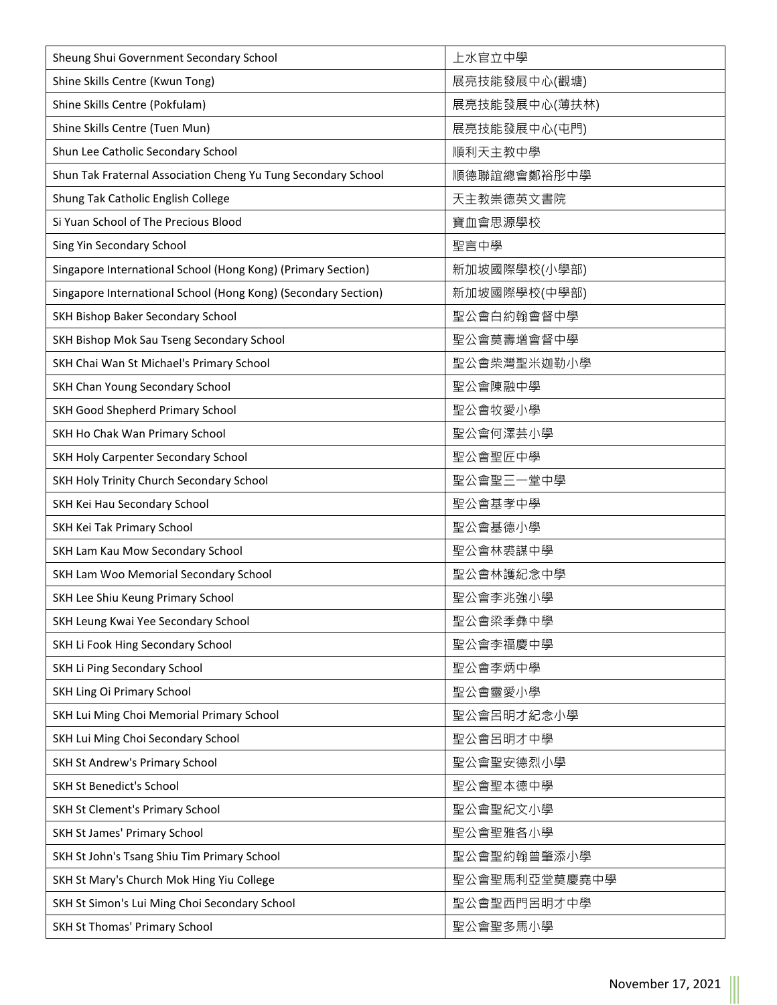| Sheung Shui Government Secondary School                        | 上水官立中學        |
|----------------------------------------------------------------|---------------|
| Shine Skills Centre (Kwun Tong)                                | 展亮技能發展中心(觀塘)  |
| Shine Skills Centre (Pokfulam)                                 | 展亮技能發展中心(薄扶林) |
| Shine Skills Centre (Tuen Mun)                                 | 展亮技能發展中心(屯門)  |
| Shun Lee Catholic Secondary School                             | 順利天主教中學       |
| Shun Tak Fraternal Association Cheng Yu Tung Secondary School  | 順德聯誼總會鄭裕彤中學   |
| Shung Tak Catholic English College                             | 天主教崇德英文書院     |
| Si Yuan School of The Precious Blood                           | 寶血會思源學校       |
| Sing Yin Secondary School                                      | 聖言中學          |
| Singapore International School (Hong Kong) (Primary Section)   | 新加坡國際學校(小學部)  |
| Singapore International School (Hong Kong) (Secondary Section) | 新加坡國際學校(中學部)  |
| SKH Bishop Baker Secondary School                              | 聖公會白約翰會督中學    |
| SKH Bishop Mok Sau Tseng Secondary School                      | 聖公會莫壽增會督中學    |
| SKH Chai Wan St Michael's Primary School                       | 聖公會柴灣聖米迦勒小學   |
| SKH Chan Young Secondary School                                | 聖公會陳融中學       |
| SKH Good Shepherd Primary School                               | 聖公會牧愛小學       |
| SKH Ho Chak Wan Primary School                                 | 聖公會何澤芸小學      |
| SKH Holy Carpenter Secondary School                            | 聖公會聖匠中學       |
| SKH Holy Trinity Church Secondary School                       | 聖公會聖三一堂中學     |
| SKH Kei Hau Secondary School                                   | 聖公會基孝中學       |
| SKH Kei Tak Primary School                                     | 聖公會基德小學       |
| SKH Lam Kau Mow Secondary School                               | 聖公會林裘謀中學      |
| SKH Lam Woo Memorial Secondary School                          | 聖公會林護紀念中學     |
| SKH Lee Shiu Keung Primary School                              | 聖公會李兆強小學      |
| SKH Leung Kwai Yee Secondary School                            | 聖公會梁季彝中學      |
| SKH Li Fook Hing Secondary School                              | 聖公會李福慶中學      |
| SKH Li Ping Secondary School                                   | 聖公會李炳中學       |
| SKH Ling Oi Primary School                                     | 聖公會靈愛小學       |
| SKH Lui Ming Choi Memorial Primary School                      | 聖公會呂明才紀念小學    |
| SKH Lui Ming Choi Secondary School                             | 聖公會呂明才中學      |
| SKH St Andrew's Primary School                                 | 聖公會聖安德烈小學     |
| <b>SKH St Benedict's School</b>                                | 聖公會聖本德中學      |
| SKH St Clement's Primary School                                | 聖公會聖紀文小學      |
| SKH St James' Primary School                                   | 聖公會聖雅各小學      |
| SKH St John's Tsang Shiu Tim Primary School                    | 聖公會聖約翰曾肇添小學   |
| SKH St Mary's Church Mok Hing Yiu College                      | 聖公會聖馬利亞堂莫慶堯中學 |
| SKH St Simon's Lui Ming Choi Secondary School                  | 聖公會聖西門呂明才中學   |
| SKH St Thomas' Primary School                                  | 聖公會聖多馬小學      |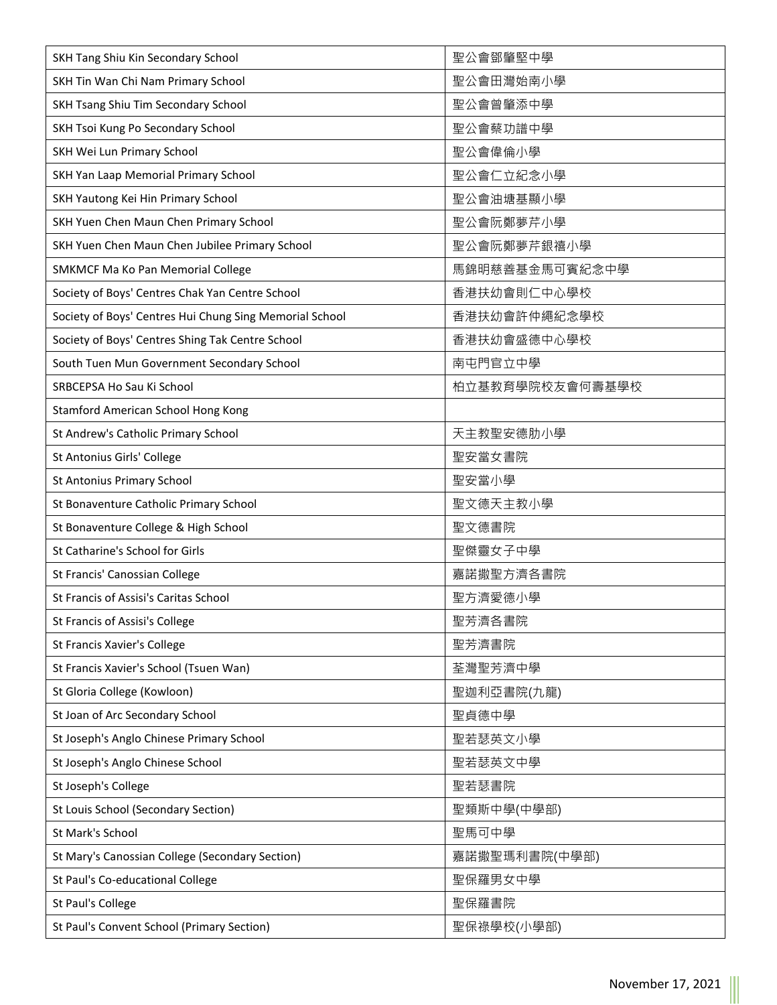| SKH Tang Shiu Kin Secondary School                      | 聖公會鄧肇堅中學        |
|---------------------------------------------------------|-----------------|
| SKH Tin Wan Chi Nam Primary School                      | 聖公會田灣始南小學       |
| SKH Tsang Shiu Tim Secondary School                     | 聖公會曾肇添中學        |
| SKH Tsoi Kung Po Secondary School                       | 聖公會蔡功譜中學        |
| SKH Wei Lun Primary School                              | 聖公會偉倫小學         |
| SKH Yan Laap Memorial Primary School                    | 聖公會仁立紀念小學       |
| SKH Yautong Kei Hin Primary School                      | 聖公會油塘基顯小學       |
| SKH Yuen Chen Maun Chen Primary School                  | 聖公會阮鄭夢芹小學       |
| SKH Yuen Chen Maun Chen Jubilee Primary School          | 聖公會阮鄭夢芹銀禧小學     |
| SMKMCF Ma Ko Pan Memorial College                       | 馬錦明慈善基金馬可賓紀念中學  |
| Society of Boys' Centres Chak Yan Centre School         | 香港扶幼會則仁中心學校     |
| Society of Boys' Centres Hui Chung Sing Memorial School | 香港扶幼會許仲繩紀念學校    |
| Society of Boys' Centres Shing Tak Centre School        | 香港扶幼會盛德中心學校     |
| South Tuen Mun Government Secondary School              | 南屯門官立中學         |
| SRBCEPSA Ho Sau Ki School                               | 柏立基教育學院校友會何壽基學校 |
| Stamford American School Hong Kong                      |                 |
| St Andrew's Catholic Primary School                     | 天主教聖安德肋小學       |
| St Antonius Girls' College                              | 聖安當女書院          |
| St Antonius Primary School                              | 聖安當小學           |
| St Bonaventure Catholic Primary School                  | 聖文德天主教小學        |
| St Bonaventure College & High School                    | 聖文德書院           |
| St Catharine's School for Girls                         | 聖傑靈女子中學         |
| St Francis' Canossian College                           | 嘉諾撒聖方濟各書院       |
| St Francis of Assisi's Caritas School                   | 聖方濟愛德小學         |
| St Francis of Assisi's College                          | 聖芳濟各書院          |
| St Francis Xavier's College                             | 聖芳濟書院           |
| St Francis Xavier's School (Tsuen Wan)                  | 荃灣聖芳濟中學         |
| St Gloria College (Kowloon)                             | 聖迦利亞書院(九龍)      |
| St Joan of Arc Secondary School                         | 聖貞德中學           |
| St Joseph's Anglo Chinese Primary School                | 聖若瑟英文小學         |
| St Joseph's Anglo Chinese School                        | 聖若瑟英文中學         |
| St Joseph's College                                     | 聖若瑟書院           |
| St Louis School (Secondary Section)                     | 聖類斯中學(中學部)      |
| St Mark's School                                        | 聖馬可中學           |
| St Mary's Canossian College (Secondary Section)         | 嘉諾撒聖瑪利書院(中學部)   |
| St Paul's Co-educational College                        | 聖保羅男女中學         |
| St Paul's College                                       | 聖保羅書院           |
| St Paul's Convent School (Primary Section)              | 聖保祿學校(小學部)      |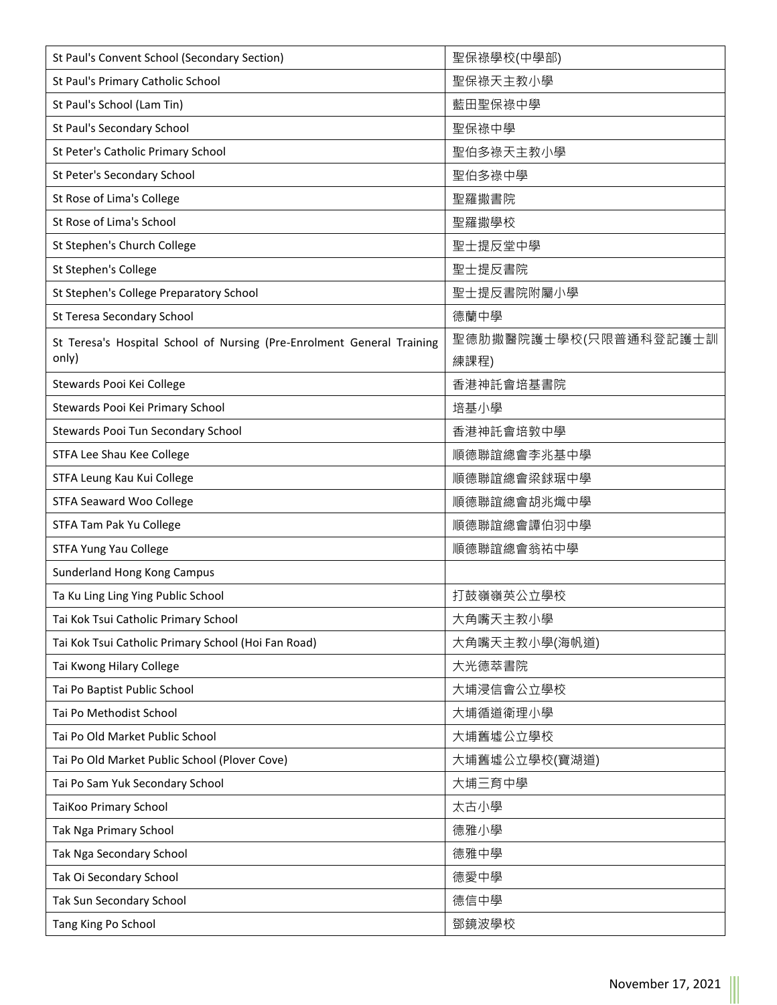| St Paul's Convent School (Secondary Section)                           | 聖保祿學校(中學部)            |
|------------------------------------------------------------------------|-----------------------|
| St Paul's Primary Catholic School                                      | 聖保祿天主教小學              |
| St Paul's School (Lam Tin)                                             | 藍田聖保祿中學               |
| St Paul's Secondary School                                             | 聖保祿中學                 |
| St Peter's Catholic Primary School                                     | 聖伯多祿天主教小學             |
| St Peter's Secondary School                                            | 聖伯多祿中學                |
| St Rose of Lima's College                                              | 聖羅撒書院                 |
| St Rose of Lima's School                                               | 聖羅撒學校                 |
| St Stephen's Church College                                            | 聖士提反堂中學               |
| St Stephen's College                                                   | 聖士提反書院                |
| St Stephen's College Preparatory School                                | 聖士提反書院附屬小學            |
| St Teresa Secondary School                                             | 德蘭中學                  |
| St Teresa's Hospital School of Nursing (Pre-Enrolment General Training | 聖德肋撒醫院護士學校(只限普通科登記護士訓 |
| only)                                                                  | 練課程)                  |
| Stewards Pooi Kei College                                              | 香港神託會培基書院             |
| Stewards Pooi Kei Primary School                                       | 培基小學                  |
| Stewards Pooi Tun Secondary School                                     | 香港神託會培敦中學             |
| STFA Lee Shau Kee College                                              | 順德聯誼總會李兆基中學           |
| STFA Leung Kau Kui College                                             | 順德聯誼總會梁銶琚中學           |
| <b>STFA Seaward Woo College</b>                                        | 順德聯誼總會胡兆熾中學           |
| STFA Tam Pak Yu College                                                | 順德聯誼總會譚伯羽中學           |
| STFA Yung Yau College                                                  | 順德聯誼總會翁祐中學            |
| Sunderland Hong Kong Campus                                            |                       |
| Ta Ku Ling Ling Ying Public School                                     | 打鼓嶺嶺英公立學校             |
| Tai Kok Tsui Catholic Primary School                                   | 大角嘴天主教小學              |
| Tai Kok Tsui Catholic Primary School (Hoi Fan Road)                    | 大角嘴天主教小學(海帆道)         |
| Tai Kwong Hilary College                                               | 大光德萃書院                |
| Tai Po Baptist Public School                                           | 大埔浸信會公立學校             |
| Tai Po Methodist School                                                | 大埔循道衛理小學              |
| Tai Po Old Market Public School                                        | 大埔舊墟公立學校              |
| Tai Po Old Market Public School (Plover Cove)                          | 大埔舊墟公立學校(寶湖道)         |
| Tai Po Sam Yuk Secondary School                                        | 大埔三育中學                |
| TaiKoo Primary School                                                  | 太古小學                  |
| Tak Nga Primary School                                                 | 德雅小學                  |
| Tak Nga Secondary School                                               | 德雅中學                  |
| Tak Oi Secondary School                                                | 德愛中學                  |
| Tak Sun Secondary School                                               | 德信中學                  |
| Tang King Po School                                                    | 鄧鏡波學校                 |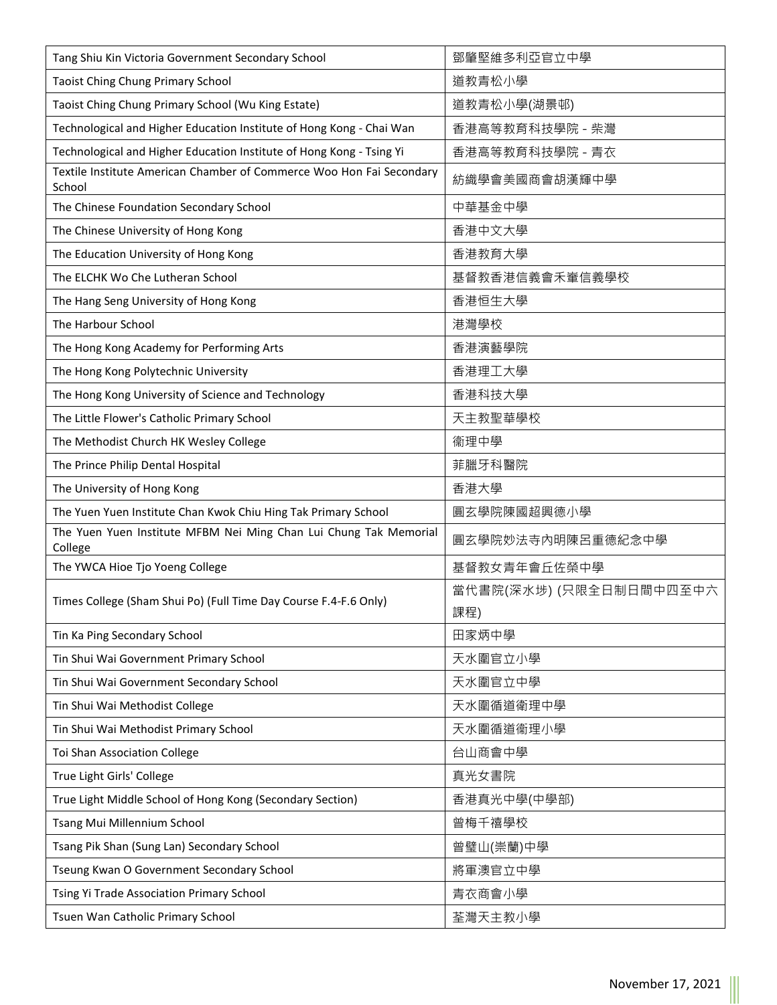| Tang Shiu Kin Victoria Government Secondary School                             | 鄧肇堅維多利亞官立中學                    |
|--------------------------------------------------------------------------------|--------------------------------|
| <b>Taoist Ching Chung Primary School</b>                                       | 道教青松小學                         |
| Taoist Ching Chung Primary School (Wu King Estate)                             | 道教青松小學(湖景邨)                    |
| Technological and Higher Education Institute of Hong Kong - Chai Wan           | 香港高等教育科技學院 - 柴灣                |
| Technological and Higher Education Institute of Hong Kong - Tsing Yi           | 香港高等教育科技學院 - 青衣                |
| Textile Institute American Chamber of Commerce Woo Hon Fai Secondary<br>School | 紡織學會美國商會胡漢輝中學                  |
| The Chinese Foundation Secondary School                                        | 中華基金中學                         |
| The Chinese University of Hong Kong                                            | 香港中文大學                         |
| The Education University of Hong Kong                                          | 香港教育大學                         |
| The ELCHK Wo Che Lutheran School                                               | 基督教香港信義會禾輋信義學校                 |
| The Hang Seng University of Hong Kong                                          | 香港恒生大學                         |
| The Harbour School                                                             | 港灣學校                           |
| The Hong Kong Academy for Performing Arts                                      | 香港演藝學院                         |
| The Hong Kong Polytechnic University                                           | 香港理工大學                         |
| The Hong Kong University of Science and Technology                             | 香港科技大學                         |
| The Little Flower's Catholic Primary School                                    | 天主教聖華學校                        |
| The Methodist Church HK Wesley College                                         | 衞理中學                           |
| The Prince Philip Dental Hospital                                              | 菲臘牙科醫院                         |
| The University of Hong Kong                                                    | 香港大學                           |
| The Yuen Yuen Institute Chan Kwok Chiu Hing Tak Primary School                 | 圓玄學院陳國超興德小學                    |
| The Yuen Yuen Institute MFBM Nei Ming Chan Lui Chung Tak Memorial<br>College   | 圓玄學院妙法寺內明陳呂重德紀念中學              |
| The YWCA Hioe Tjo Yoeng College                                                | 基督教女青年會丘佐榮中學                   |
| Times College (Sham Shui Po) (Full Time Day Course F.4-F.6 Only)               | 當代書院(深水埗) (只限全日制日間中四至中六<br>課程) |
| Tin Ka Ping Secondary School                                                   | 田家炳中學                          |
| Tin Shui Wai Government Primary School                                         | 天水圍官立小學                        |
| Tin Shui Wai Government Secondary School                                       | 天水圍官立中學                        |
| Tin Shui Wai Methodist College                                                 | 天水圍循道衛理中學                      |
| Tin Shui Wai Methodist Primary School                                          | 天水圍循道衞理小學                      |
| Toi Shan Association College                                                   | 台山商會中學                         |
| True Light Girls' College                                                      | 真光女書院                          |
| True Light Middle School of Hong Kong (Secondary Section)                      | 香港真光中學(中學部)                    |
| Tsang Mui Millennium School                                                    | 曾梅千禧學校                         |
| Tsang Pik Shan (Sung Lan) Secondary School                                     | 曾璧山(崇蘭)中學                      |
| Tseung Kwan O Government Secondary School                                      | 將軍澳官立中學                        |
| Tsing Yi Trade Association Primary School                                      | 青衣商會小學                         |
| Tsuen Wan Catholic Primary School                                              | 荃灣天主教小學                        |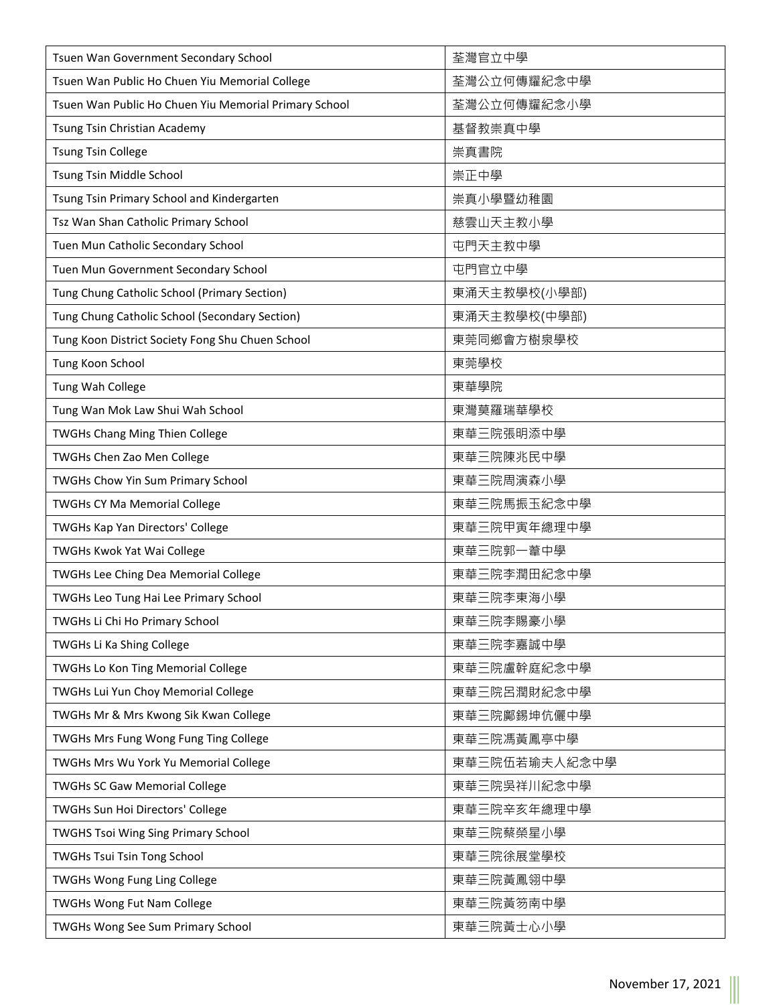| Tsuen Wan Government Secondary School                 | 荃灣官立中學        |
|-------------------------------------------------------|---------------|
| Tsuen Wan Public Ho Chuen Yiu Memorial College        | 荃灣公立何傳耀紀念中學   |
| Tsuen Wan Public Ho Chuen Yiu Memorial Primary School | 荃灣公立何傳耀紀念小學   |
| Tsung Tsin Christian Academy                          | 基督教崇真中學       |
| <b>Tsung Tsin College</b>                             | 崇真書院          |
| Tsung Tsin Middle School                              | 崇正中學          |
| Tsung Tsin Primary School and Kindergarten            | 崇真小學暨幼稚園      |
| Tsz Wan Shan Catholic Primary School                  | 慈雲山天主教小學      |
| Tuen Mun Catholic Secondary School                    | 屯門天主教中學       |
| Tuen Mun Government Secondary School                  | 屯門官立中學        |
| Tung Chung Catholic School (Primary Section)          | 東涌天主教學校(小學部)  |
| Tung Chung Catholic School (Secondary Section)        | 東涌天主教學校(中學部)  |
| Tung Koon District Society Fong Shu Chuen School      | 東莞同鄉會方樹泉學校    |
| Tung Koon School                                      | 東莞學校          |
| Tung Wah College                                      | 東華學院          |
| Tung Wan Mok Law Shui Wah School                      | 東灣莫羅瑞華學校      |
| TWGHs Chang Ming Thien College                        | 東華三院張明添中學     |
| TWGHs Chen Zao Men College                            | 東華三院陳兆民中學     |
| TWGHs Chow Yin Sum Primary School                     | 東華三院周演森小學     |
| TWGHs CY Ma Memorial College                          | 東華三院馬振玉紀念中學   |
| TWGHs Kap Yan Directors' College                      | 東華三院甲寅年總理中學   |
| TWGHs Kwok Yat Wai College                            | 東華三院郭一葦中學     |
| TWGHs Lee Ching Dea Memorial College                  | 東華三院李潤田紀念中學   |
| TWGHs Leo Tung Hai Lee Primary School                 | 東華三院李東海小學     |
| TWGHs Li Chi Ho Primary School                        | 東華三院李賜豪小學     |
| TWGHs Li Ka Shing College                             | 東華三院李嘉誠中學     |
| TWGHs Lo Kon Ting Memorial College                    | 東華三院盧幹庭紀念中學   |
| TWGHs Lui Yun Choy Memorial College                   | 東華三院呂潤財紀念中學   |
| TWGHs Mr & Mrs Kwong Sik Kwan College                 | 東華三院鄺錫坤伉儷中學   |
| TWGHs Mrs Fung Wong Fung Ting College                 | 東華三院馮黃鳳亭中學    |
| TWGHs Mrs Wu York Yu Memorial College                 | 東華三院伍若瑜夫人紀念中學 |
| <b>TWGHs SC Gaw Memorial College</b>                  | 東華三院吳祥川紀念中學   |
| TWGHs Sun Hoi Directors' College                      | 東華三院辛亥年總理中學   |
| TWGHS Tsoi Wing Sing Primary School                   | 東華三院蔡榮星小學     |
| TWGHs Tsui Tsin Tong School                           | 東華三院徐展堂學校     |
| TWGHs Wong Fung Ling College                          | 東華三院黃鳳翎中學     |
| TWGHs Wong Fut Nam College                            | 東華三院黃笏南中學     |
| TWGHs Wong See Sum Primary School                     | 東華三院黃士心小學     |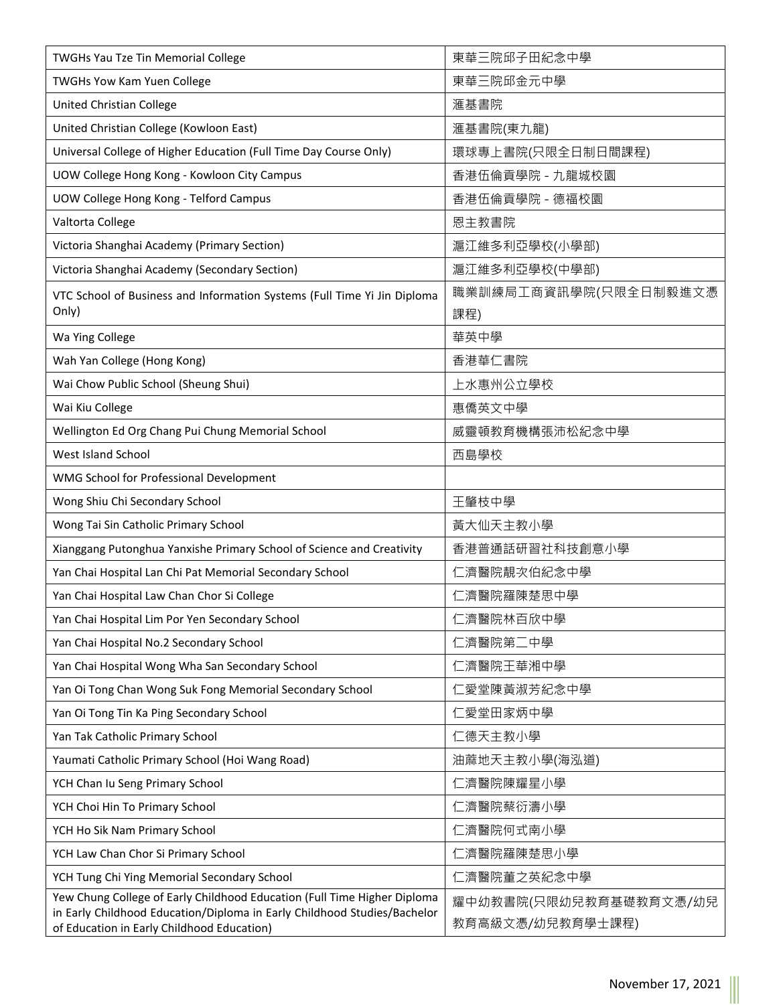| TWGHs Yau Tze Tin Memorial College                                       | 東華三院邱子田紀念中學            |
|--------------------------------------------------------------------------|------------------------|
| <b>TWGHs Yow Kam Yuen College</b>                                        | 東華三院邱金元中學              |
| United Christian College                                                 | 滙基書院                   |
| United Christian College (Kowloon East)                                  | 滙基書院(東九龍)              |
| Universal College of Higher Education (Full Time Day Course Only)        | 環球專上書院(只限全日制日間課程)      |
| UOW College Hong Kong - Kowloon City Campus                              | 香港伍倫貢學院 - 九龍城校園        |
| UOW College Hong Kong - Telford Campus                                   | 香港伍倫貢學院 - 德福校園         |
| Valtorta College                                                         | 恩主教書院                  |
| Victoria Shanghai Academy (Primary Section)                              | 滬江維多利亞學校(小學部)          |
| Victoria Shanghai Academy (Secondary Section)                            | 滬江維多利亞學校(中學部)          |
| VTC School of Business and Information Systems (Full Time Yi Jin Diploma | 職業訓練局工商資訊學院(只限全日制毅進文憑  |
| Only)                                                                    | 課程)                    |
| Wa Ying College                                                          | 華英中學                   |
| Wah Yan College (Hong Kong)                                              | 香港華仁書院                 |
| Wai Chow Public School (Sheung Shui)                                     | 上水惠州公立學校               |
| Wai Kiu College                                                          | 惠僑英文中學                 |
| Wellington Ed Org Chang Pui Chung Memorial School                        | 威靈頓教育機構張沛松紀念中學         |
| West Island School                                                       | 西島學校                   |
| WMG School for Professional Development                                  |                        |
| Wong Shiu Chi Secondary School                                           | 王肇枝中學                  |
| Wong Tai Sin Catholic Primary School                                     | 黃大仙天主教小學               |
| Xianggang Putonghua Yanxishe Primary School of Science and Creativity    | 香港普通話研習社科技創意小學         |
| Yan Chai Hospital Lan Chi Pat Memorial Secondary School                  | 仁濟醫院靚次伯紀念中學            |
| Yan Chai Hospital Law Chan Chor Si College                               | 仁濟醫院羅陳楚思中學             |
| Yan Chai Hospital Lim Por Yen Secondary School                           | :濟醫院林百欣中學              |
| Yan Chai Hospital No.2 Secondary School                                  | 仁濟醫院第二中學               |
| Yan Chai Hospital Wong Wha San Secondary School                          | 仁濟醫院王華湘中學              |
| Yan Oi Tong Chan Wong Suk Fong Memorial Secondary School                 | 仁愛堂陳黃淑芳紀念中學            |
| Yan Oi Tong Tin Ka Ping Secondary School                                 | 仁愛堂田家炳中學               |
| Yan Tak Catholic Primary School                                          | 仁德天主教小學                |
| Yaumati Catholic Primary School (Hoi Wang Road)                          | 油蔴地天主教小學(海泓道)          |
| YCH Chan Iu Seng Primary School                                          | 仁濟醫院陳耀星小學              |
| YCH Choi Hin To Primary School                                           | 仁濟醫院蔡衍濤小學              |
| YCH Ho Sik Nam Primary School                                            | 仁濟醫院何式南小學              |
| YCH Law Chan Chor Si Primary School                                      | 仁濟醫院羅陳楚思小學             |
| YCH Tung Chi Ying Memorial Secondary School                              | 仁濟醫院董之英紀念中學            |
| Yew Chung College of Early Childhood Education (Full Time Higher Diploma | 耀中幼教書院(只限幼兒教育基礎教育文憑/幼兒 |
| in Early Childhood Education/Diploma in Early Childhood Studies/Bachelor | 教育高級文憑/幼兒教育學士課程)       |